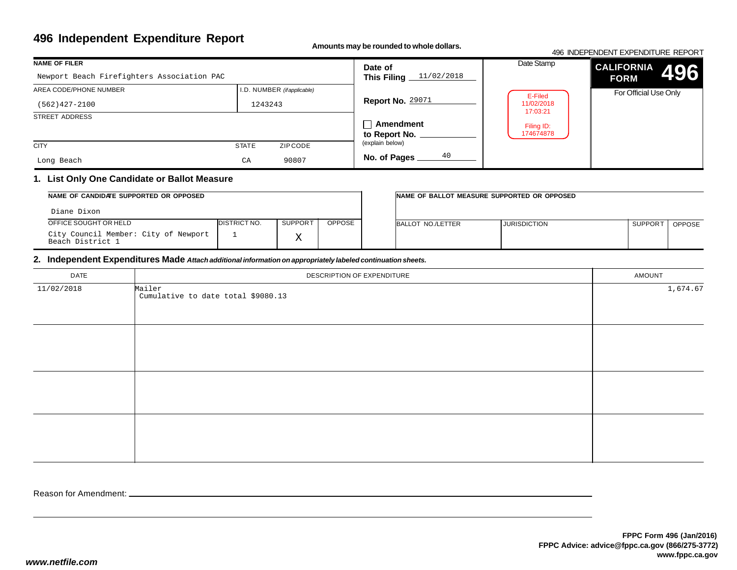**Amounts may be rounded to whole dollars.**

|                                            |                                      |                                     |                         | 496 INDEPENDENT EXPENDITURE REPORT |
|--------------------------------------------|--------------------------------------|-------------------------------------|-------------------------|------------------------------------|
| <b>NAME OF FILER</b>                       |                                      | Date of                             | Date Stamp              | <b>CALIFORNIA</b><br>496           |
| Newport Beach Firefighters Association PAC |                                      | 11/02/2018<br>This Filing _         |                         | <b>FORM</b>                        |
| AREA CODE/PHONE NUMBER                     | I.D. NUMBER ( <i>if applicable</i> ) |                                     | E-Filed                 | For Official Use Only              |
| $(562)427 - 2100$                          | 1243243                              | <b>Report No. 29071</b>             | 11/02/2018<br>17:03:21  |                                    |
| STREET ADDRESS                             |                                      | $\Box$ Amendment<br>to Report No. _ | Filing ID:<br>174674878 |                                    |
| <b>CITY</b>                                | <b>STATE</b><br>ZIP CODE             | (explain below)                     |                         |                                    |
| Long Beach                                 | 90807<br>CA                          | 40<br>No. of Pages                  |                         |                                    |

### **1. List Only One Candidate or Ballot Measure**

| NAME OF CANDIDATE SUPPORTED OR OPPOSED                   |                      |                |               | INAME OF BALLOT MEASURE SUPPORTED OR OPPOSED |                     |                     |               |
|----------------------------------------------------------|----------------------|----------------|---------------|----------------------------------------------|---------------------|---------------------|---------------|
| Diane Dixon                                              |                      |                |               |                                              |                     |                     |               |
| OFFICE SOUGHT OR HELD                                    | <b>IDISTRICT NO.</b> | <b>SUPPORT</b> | <b>OPPOSE</b> | BALLOT NO./LETTER                            | <b>JURISDICTION</b> | SUPPOR <sub>1</sub> | <b>OPPOSE</b> |
| City Council Member: City of Newport<br>Beach District 1 |                      |                |               |                                              |                     |                     |               |

### **2. Independent Expenditures Made** *Attach additional information on appropriately labeled continuation sheets.*

| DATE       | DESCRIPTION OF EXPENDITURE                   | AMOUNT   |
|------------|----------------------------------------------|----------|
| 11/02/2018 | Mailer<br>Cumulative to date total \$9080.13 | 1,674.67 |
|            |                                              |          |
|            |                                              |          |
|            |                                              |          |
|            |                                              |          |
|            |                                              |          |
|            |                                              |          |
|            |                                              |          |
|            |                                              |          |
|            |                                              |          |

Reason for Amendment: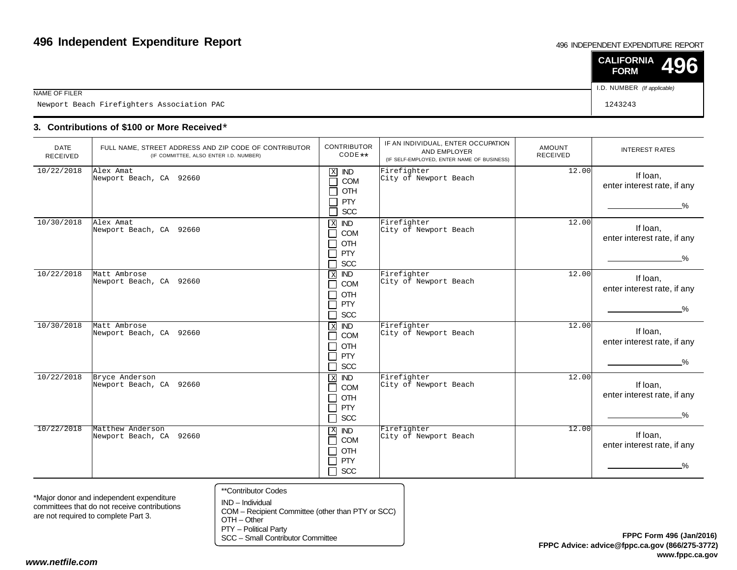#### 496 INDEPENDENT EXPENDITURE REPORT

|                                            | $\vert$ CALIFORNIA 496<br><b>FORM</b> |  |
|--------------------------------------------|---------------------------------------|--|
| NAME OF FILER                              | I.D. NUMBER (If applicable)           |  |
| Newport Beach Firefighters Association PAC | 1243243                               |  |

### **3. Contributions of \$100 or More Received**\*

| <b>DATE</b><br><b>RECEIVED</b> | FULL NAME, STREET ADDRESS AND ZIP CODE OF CONTRIBUTOR<br>(IF COMMITTEE, ALSO ENTER I.D. NUMBER) | <b>CONTRIBUTOR</b><br>$CODE**$                                                                                                                       | IF AN INDIVIDUAL, ENTER OCCUPATION<br>AND EMPLOYER<br>(IF SELF-EMPLOYED, ENTER NAME OF BUSINESS) | <b>AMOUNT</b><br><b>RECEIVED</b> | <b>INTEREST RATES</b>                                    |
|--------------------------------|-------------------------------------------------------------------------------------------------|------------------------------------------------------------------------------------------------------------------------------------------------------|--------------------------------------------------------------------------------------------------|----------------------------------|----------------------------------------------------------|
| 10/22/2018                     | Alex Amat<br>Newport Beach, CA 92660                                                            | $\mathbf X$<br><b>IND</b><br>COM<br>$\sim$<br>OTH<br><b>PTY</b><br>SCC                                                                               | Firefighter<br>City of Newport Beach                                                             | 12.00                            | If Ioan,<br>enter interest rate, if any<br>$\%$          |
| 10/30/2018                     | Alex Amat<br>Newport Beach, CA 92660                                                            | $\mathbf X$<br><b>IND</b><br>COM<br>$\blacksquare$<br>OTH<br>$\blacksquare$<br><b>PTY</b><br>$\blacksquare$<br>SCC                                   | Firefighter<br>City of Newport Beach                                                             | 12.00                            | If Ioan,<br>enter interest rate, if any<br>$\frac{0}{2}$ |
| 10/22/2018                     | Matt Ambrose<br>Newport Beach, CA 92660                                                         | <b>IND</b><br>$\overline{\mathbf{x}}$<br><b>COM</b><br>$\blacksquare$<br>OTH<br>$\blacksquare$<br>PTY<br>$\overline{\phantom{0}}$<br><b>SCC</b><br>┓ | Firefighter<br>City of Newport Beach                                                             | 12.00                            | If loan,<br>enter interest rate, if any<br>$\%$          |
| 10/30/2018                     | Matt Ambrose<br>Newport Beach, CA 92660                                                         | $X$ IND<br>COM<br>$\blacksquare$<br>OTH<br>$\blacksquare$<br><b>PTY</b><br>$\blacksquare$<br><b>SCC</b><br>┓                                         | Firefighter<br>City of Newport Beach                                                             | 12.00                            | If Ioan,<br>enter interest rate, if any<br>$\%$          |
| 10/22/2018                     | Bryce Anderson<br>Newport Beach, CA 92660                                                       | $\,$ X<br><b>IND</b><br>COM<br>$\blacksquare$<br>OTH<br>$\perp$<br>PTY<br>┓<br>$\Box$ SCC                                                            | Firefighter<br>City of Newport Beach                                                             | 12.00                            | If Ioan,<br>enter interest rate, if any<br>$\frac{9}{6}$ |
| 10/22/2018                     | Matthew Anderson<br>Newport Beach, CA 92660                                                     | $X$ <b>ND</b><br>COM<br>$\blacksquare$<br>OTH<br>┓<br>PTY<br>$\blacksquare$<br><b>SCC</b><br>$\blacksquare$                                          | Firefighter<br>City of Newport Beach                                                             | 12.00                            | If loan,<br>enter interest rate, if any<br>$\frac{0}{2}$ |

\*Major donor and independent expenditure committees that do not receive contributionsare not required to complete Part 3.

- \*\*Contributor Codes
- IND Individual COM – Recipient Committee (other than PTY or SCC)OTH – Other

PTY – Political Party

SCC – Small Contributor Committee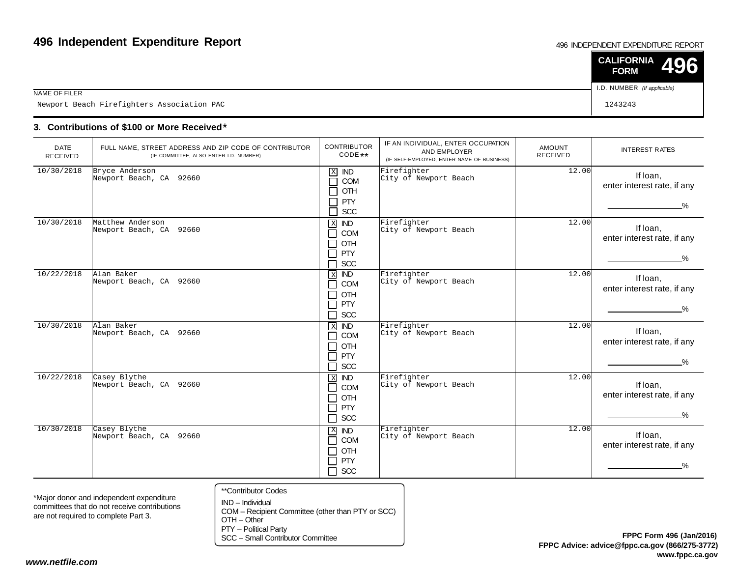#### 496 INDEPENDENT EXPENDITURE REPORT

|                                            | $\vert$ CALIFORNIA 496<br><b>FORM</b> |
|--------------------------------------------|---------------------------------------|
| NAME OF FILER                              | I.D. NUMBER (If applicable)           |
| Newport Beach Firefighters Association PAC | 1243243                               |

### **3. Contributions of \$100 or More Received**\*

| <b>DATE</b><br>RECEIVED | FULL NAME, STREET ADDRESS AND ZIP CODE OF CONTRIBUTOR<br>(IF COMMITTEE, ALSO ENTER I.D. NUMBER) | <b>CONTRIBUTOR</b><br>CODE **                                                                                                  | IF AN INDIVIDUAL, ENTER OCCUPATION<br>AND EMPLOYER<br>(IF SELF-EMPLOYED, ENTER NAME OF BUSINESS) | <b>AMOUNT</b><br><b>RECEIVED</b> | <b>INTEREST RATES</b>                                    |
|-------------------------|-------------------------------------------------------------------------------------------------|--------------------------------------------------------------------------------------------------------------------------------|--------------------------------------------------------------------------------------------------|----------------------------------|----------------------------------------------------------|
| 10/30/2018              | Bryce Anderson<br>Newport Beach, CA 92660                                                       | $\mathbf X$<br><b>IND</b><br>COM<br>$\mathcal{L}$<br>OTH<br><b>PTY</b><br>SCC<br>$\mathcal{L}_{\mathcal{A}}$                   | Firefighter<br>City of Newport Beach                                                             | 12.00                            | If Ioan,<br>enter interest rate, if any<br>$\%$          |
| 10/30/2018              | Matthew Anderson<br>Newport Beach, CA 92660                                                     | X <b>ND</b><br>COM<br>$\blacksquare$<br>OTH<br>$\blacksquare$<br><b>PTY</b><br><b>SCC</b>                                      | Firefighter<br>City of Newport Beach                                                             | 12.00                            | If loan,<br>enter interest rate, if any<br>$\frac{9}{6}$ |
| 10/22/2018              | Alan Baker<br>Newport Beach, CA 92660                                                           | $\overline{ND}$<br>$\,$ X<br>COM<br>┓<br>OTH<br>$\blacksquare$<br>PTY<br>$\blacksquare$<br><b>SCC</b><br>٦                     | Firefighter<br>City of Newport Beach                                                             | 12.00                            | If Ioan,<br>enter interest rate, if any<br>$\frac{9}{6}$ |
| 10/30/2018              | Alan Baker<br>Newport Beach, CA 92660                                                           | $X$ IND<br><b>COM</b><br>$\blacksquare$<br>OTH<br><b>PTY</b><br>$\sim$<br><b>SCC</b><br>┑                                      | Firefighter<br>City of Newport Beach                                                             | 12.00                            | If loan,<br>enter interest rate, if any<br>$\%$          |
| 10/22/2018              | Casey Blythe<br>Newport Beach, CA 92660                                                         | $X$ <b>ND</b><br><b>COM</b><br>$\blacksquare$<br><b>OTH</b><br>$\blacksquare$<br>PTY<br>$\blacksquare$<br><b>SCC</b><br>$\Box$ | Firefighter<br>City of Newport Beach                                                             | 12.00                            | If Ioan,<br>enter interest rate, if any<br>%             |
| 10/30/2018              | Casey Blythe<br>Newport Beach, CA 92660                                                         | $X$ <b>ND</b><br><b>COM</b><br>П<br>OTH<br>┓<br><b>PTY</b><br>┑<br><b>SCC</b><br>┑                                             | Firefighter<br>City of Newport Beach                                                             | 12.00                            | If loan,<br>enter interest rate, if any<br>%             |

\*Major donor and independent expenditure committees that do not receive contributionsare not required to complete Part 3.

- \*\*Contributor Codes
- IND Individual COM – Recipient Committee (other than PTY or SCC)OTH – Other

PTY – Political Party

SCC – Small Contributor Committee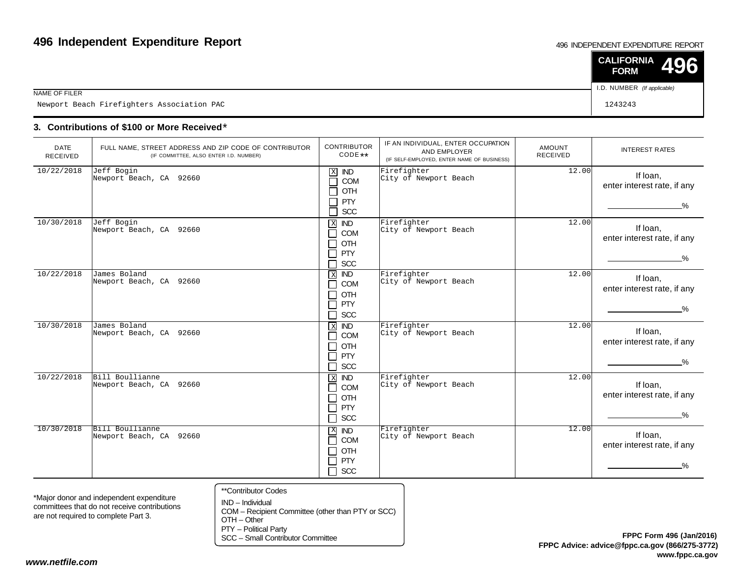#### 496 INDEPENDENT EXPENDITURE REPORT

|                                            | $\vert$ CALIFORNIA 496<br><b>FORM</b> |  |
|--------------------------------------------|---------------------------------------|--|
| NAME OF FILER                              | I.D. NUMBER (If applicable)           |  |
| Newport Beach Firefighters Association PAC | 1243243                               |  |

### **3. Contributions of \$100 or More Received**\*

| <b>DATE</b><br>RECEIVED | FULL NAME, STREET ADDRESS AND ZIP CODE OF CONTRIBUTOR<br>(IF COMMITTEE, ALSO ENTER I.D. NUMBER) | <b>CONTRIBUTOR</b><br>CODE **                                                                                      | IF AN INDIVIDUAL, ENTER OCCUPATION<br>AND EMPLOYER<br>(IF SELF-EMPLOYED, ENTER NAME OF BUSINESS) | <b>AMOUNT</b><br><b>RECEIVED</b> | <b>INTEREST RATES</b>                                    |
|-------------------------|-------------------------------------------------------------------------------------------------|--------------------------------------------------------------------------------------------------------------------|--------------------------------------------------------------------------------------------------|----------------------------------|----------------------------------------------------------|
| 10/22/2018              | Jeff Bogin<br>Newport Beach, CA 92660                                                           | $\mathbf X$<br><b>IND</b><br>COM<br>$\sim$<br>OTH<br><b>PTY</b><br>SCC                                             | Firefighter<br>City of Newport Beach                                                             | 12.00                            | If Ioan,<br>enter interest rate, if any<br>$\%$          |
| 10/30/2018              | Jeff Bogin<br>Newport Beach, CA 92660                                                           | X<br><b>IND</b><br>COM<br>$\blacksquare$<br><b>OTH</b><br>$\blacksquare$<br>PTY<br><b>SCC</b>                      | Firefighter<br>City of Newport Beach                                                             | 12.00                            | If loan,<br>enter interest rate, if any<br>$\frac{9}{6}$ |
| 10/22/2018              | James Boland<br>Newport Beach, CA 92660                                                         | $\,$ X<br><b>IND</b><br>COM<br>$\blacksquare$<br>OTH<br>$\blacksquare$<br>PTY<br>$\blacksquare$<br><b>SCC</b><br>٦ | Firefighter<br>City of Newport Beach                                                             | 12.00                            | If loan,<br>enter interest rate, if any<br>$\frac{0}{2}$ |
| 10/30/2018              | James Boland<br>Newport Beach, CA 92660                                                         | $X$ IND<br>COM<br>$\blacksquare$<br>OTH<br>PTY<br>$\mathcal{L}$<br><b>SCC</b><br>$\mathcal{L}$                     | Firefighter<br>City of Newport Beach                                                             | 12.00                            | If loan,<br>enter interest rate, if any<br>%             |
| 10/22/2018              | Bill Boullianne<br>Newport Beach, CA 92660                                                      | $\,$ X<br><b>IND</b><br><b>COM</b><br>$\blacksquare$<br>OTH<br>┓<br>PTY<br>┓<br><b>SCC</b><br>$\Box$               | Firefighter<br>City of Newport Beach                                                             | 12.00                            | If Ioan,<br>enter interest rate, if any<br>$\%$          |
| 10/30/2018              | Bill Boullianne<br>Newport Beach, CA 92660                                                      | X IND<br>COM<br>n l<br>OTH<br>$\blacksquare$<br>PTY<br>$\sim$<br>┑<br><b>SCC</b>                                   | Firefighter<br>City of Newport Beach                                                             | 12.00                            | If loan,<br>enter interest rate, if any<br>%             |

\*Major donor and independent expenditure committees that do not receive contributionsare not required to complete Part 3.

- \*\*Contributor Codes
- IND Individual COM – Recipient Committee (other than PTY or SCC)OTH – Other

PTY – Political Party

SCC – Small Contributor Committee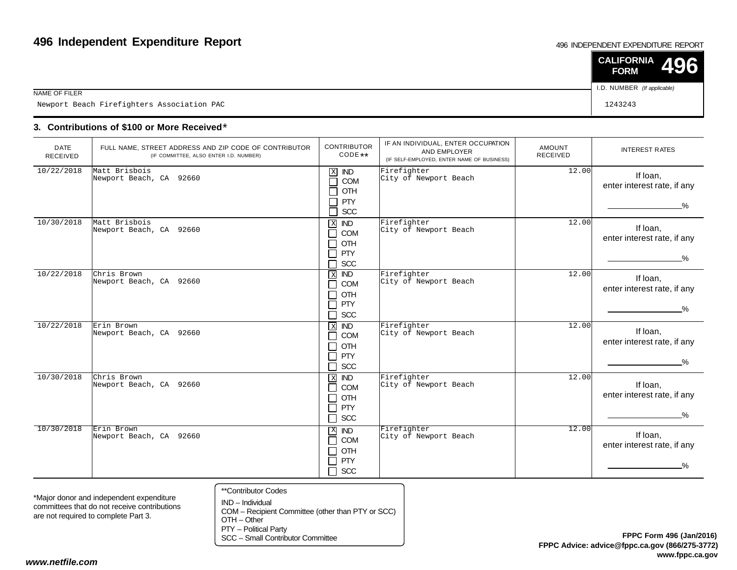#### 496 INDEPENDENT EXPENDITURE REPORT

|                                            | $\vert$ CALIFORNIA 496<br><b>FORM</b> |  |
|--------------------------------------------|---------------------------------------|--|
| NAME OF FILER                              | I.D. NUMBER (If applicable)           |  |
| Newport Beach Firefighters Association PAC | 1243243                               |  |

### **3. Contributions of \$100 or More Received**\*

| <b>DATE</b><br><b>RECEIVED</b> | FULL NAME, STREET ADDRESS AND ZIP CODE OF CONTRIBUTOR<br>(IF COMMITTEE, ALSO ENTER I.D. NUMBER) | <b>CONTRIBUTOR</b><br>CODE **                                                                                             | IF AN INDIVIDUAL, ENTER OCCUPATION<br>AND EMPLOYER<br>(IF SELF-EMPLOYED, ENTER NAME OF BUSINESS) | <b>AMOUNT</b><br><b>RECEIVED</b> | <b>INTEREST RATES</b>                                    |
|--------------------------------|-------------------------------------------------------------------------------------------------|---------------------------------------------------------------------------------------------------------------------------|--------------------------------------------------------------------------------------------------|----------------------------------|----------------------------------------------------------|
| 10/22/2018                     | Matt Brisbois<br>Newport Beach, CA 92660                                                        | $\mathbf X$<br><b>IND</b><br>COM<br>$\sim$<br>OTH<br><b>PTY</b><br>SCC<br>┑                                               | Firefighter<br>City of Newport Beach                                                             | 12.00                            | If loan,<br>enter interest rate, if any<br>$\%$          |
| 10/30/2018                     | Matt Brisbois<br>Newport Beach, CA 92660                                                        | $X$ IND<br>COM<br>$\blacksquare$<br><b>OTH</b><br>$\blacksquare$<br>PTY<br>$\mathcal{L}$<br><b>SCC</b><br>$\blacksquare$  | Firefighter<br>City of Newport Beach                                                             | 12.00                            | If loan,<br>enter interest rate, if any<br>$\frac{9}{6}$ |
| 10/22/2018                     | Chris Brown<br>Newport Beach, CA 92660                                                          | <b>IND</b><br>$\,$ X<br><b>COM</b><br>$\blacksquare$<br>OTH<br>$\blacksquare$<br>PTY<br>$\blacksquare$<br><b>SCC</b><br>┐ | Firefighter<br>City of Newport Beach                                                             | 12.00                            | If loan,<br>enter interest rate, if any<br>$\frac{9}{6}$ |
| 10/22/2018                     | Erin Brown<br>Newport Beach, CA 92660                                                           | $X$ <b>ND</b><br><b>COM</b><br>$\blacksquare$<br><b>OTH</b><br>$\overline{\phantom{a}}$<br>PTY<br>┓<br><b>SCC</b><br>┐    | Firefighter<br>City of Newport Beach                                                             | 12.00                            | If loan,<br>enter interest rate, if any<br>$\%$          |
| 10/30/2018                     | Chris Brown<br>Newport Beach, CA 92660                                                          | $\,$ X<br><b>IND</b><br>COM<br>$\blacksquare$<br>OTH<br>$\blacksquare$<br>PTY<br>$\blacksquare$<br>SCC<br>┐               | Firefighter<br>City of Newport Beach                                                             | 12.00                            | If Ioan,<br>enter interest rate, if any<br>$\%$          |
| 10/30/2018                     | Erin Brown<br>Newport Beach, CA 92660                                                           | $\mathbf{X}$<br><b>IND</b><br>COM<br>٦<br>OTH<br>$\blacksquare$<br>PTY<br>┓<br>$\Box$ SCC                                 | Firefighter<br>City of Newport Beach                                                             | 12.00                            | If loan,<br>enter interest rate, if any<br>%             |

\*Major donor and independent expenditure committees that do not receive contributionsare not required to complete Part 3.

- \*\*Contributor Codes
- IND Individual COM – Recipient Committee (other than PTY or SCC)OTH – Other

PTY – Political Party

SCC – Small Contributor Committee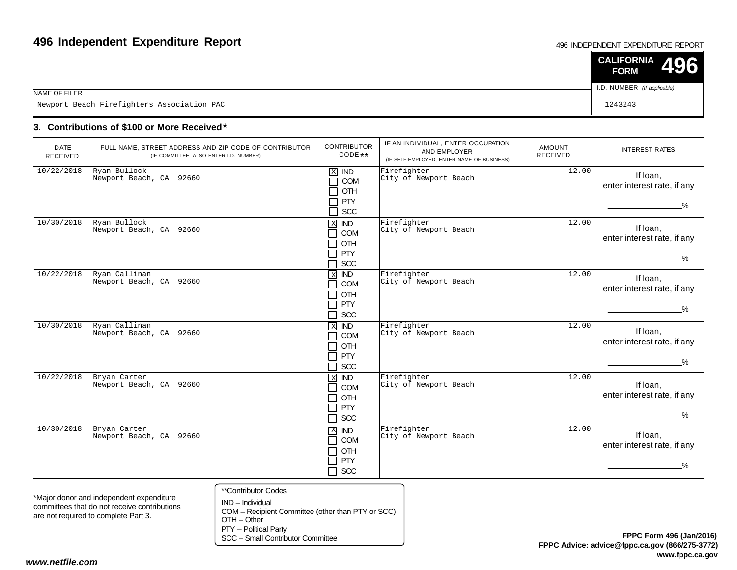#### 496 INDEPENDENT EXPENDITURE REPORT

|                                            | $\vert$ CALIFORNIA 496<br><b>FORM</b> |  |
|--------------------------------------------|---------------------------------------|--|
| NAME OF FILER                              | I.D. NUMBER (If applicable)           |  |
| Newport Beach Firefighters Association PAC | 1243243                               |  |

### **3. Contributions of \$100 or More Received**\*

| <b>DATE</b><br><b>RECEIVED</b> | FULL NAME, STREET ADDRESS AND ZIP CODE OF CONTRIBUTOR<br>(IF COMMITTEE, ALSO ENTER I.D. NUMBER) | <b>CONTRIBUTOR</b><br>$CODE**$                                                          | IF AN INDIVIDUAL, ENTER OCCUPATION<br>AND EMPLOYER<br>(IF SELF-EMPLOYED, ENTER NAME OF BUSINESS) | AMOUNT<br><b>RECEIVED</b> | <b>INTEREST RATES</b>                                    |
|--------------------------------|-------------------------------------------------------------------------------------------------|-----------------------------------------------------------------------------------------|--------------------------------------------------------------------------------------------------|---------------------------|----------------------------------------------------------|
| 10/22/2018                     | Ryan Bullock<br>Newport Beach, CA 92660                                                         | $\mathbf X$<br><b>IND</b><br>П<br><b>COM</b><br>OTH<br>┓<br>PTY<br>SCC<br>$\Box$        | Firefighter<br>City of Newport Beach                                                             | 12.00                     | If loan,<br>enter interest rate, if any<br>$\%$          |
| 10/30/2018                     | Ryan Bullock<br>Newport Beach, CA 92660                                                         | X <b>IND</b><br><b>COM</b><br>П<br>OTH<br>П<br>PTY<br>$\Box$<br>SCC<br>ך י              | Firefighter<br>City of Newport Beach                                                             | 12.00                     | If loan,<br>enter interest rate, if any<br>$\frac{9}{6}$ |
| 10/22/2018                     | Ryan Callinan<br>Newport Beach, CA 92660                                                        | $\,$ X<br><b>IND</b><br>COM<br>П<br><b>OTH</b><br>□<br>PTY<br>П<br><b>SCC</b><br>П      | Firefighter<br>City of Newport Beach                                                             | 12.00                     | If loan,<br>enter interest rate, if any<br>$\frac{9}{6}$ |
| 10/30/2018                     | Ryan Callinan<br>Newport Beach, CA 92660                                                        | $X$ IND<br>COM<br>П<br>OTH<br>П<br>PTY<br>$\Box$<br>SCC<br>П                            | Firefighter<br>City of Newport Beach                                                             | 12.00                     | If loan,<br>enter interest rate, if any<br>%             |
| 10/22/2018                     | Bryan Carter<br>Newport Beach, CA 92660                                                         | $\,$ X<br><b>IND</b><br><b>COM</b><br>П<br>OTH<br>П<br>PTY<br>П<br>П<br>SCC             | Firefighter<br>City of Newport Beach                                                             | 12.00                     | If Ioan,<br>enter interest rate, if any<br>$\%$          |
| 10/30/2018                     | Bryan Carter<br>Newport Beach, CA 92660                                                         | $\mathbf X$<br>$\overline{ND}$<br>COM<br>П<br>OTH<br>П<br><b>PTY</b><br>П<br>$\Box$ scc | Firefighter<br>City of Newport Beach                                                             | 12.00                     | If Ioan,<br>enter interest rate, if any<br>$\frac{9}{6}$ |

\*Major donor and independent expenditure committees that do not receive contributionsare not required to complete Part 3.

- \*\*Contributor Codes
- IND Individual COM – Recipient Committee (other than PTY or SCC)OTH – Other

PTY – Political Party

SCC – Small Contributor Committee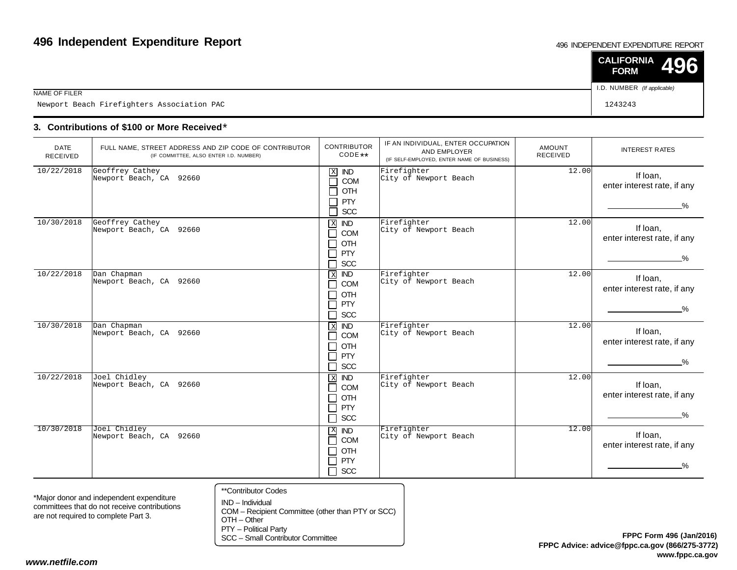#### 496 INDEPENDENT EXPENDITURE REPORT

|                                            | $\vert$ CALIFORNIA 496<br><b>FORM</b> |
|--------------------------------------------|---------------------------------------|
| NAME OF FILER                              | I.D. NUMBER (If applicable)           |
| Newport Beach Firefighters Association PAC | 1243243                               |

### **3. Contributions of \$100 or More Received**\*

| <b>DATE</b><br>RECEIVED | FULL NAME, STREET ADDRESS AND ZIP CODE OF CONTRIBUTOR<br>(IF COMMITTEE, ALSO ENTER I.D. NUMBER) | <b>CONTRIBUTOR</b><br>$CODE**$                                                                                                 | IF AN INDIVIDUAL, ENTER OCCUPATION<br>AND EMPLOYER<br>(IF SELF-EMPLOYED, ENTER NAME OF BUSINESS) | AMOUNT<br><b>RECEIVED</b> | <b>INTEREST RATES</b>                                    |
|-------------------------|-------------------------------------------------------------------------------------------------|--------------------------------------------------------------------------------------------------------------------------------|--------------------------------------------------------------------------------------------------|---------------------------|----------------------------------------------------------|
| 10/22/2018              | Geoffrey Cathey<br>Newport Beach, CA 92660                                                      | $\mathbf X$<br><b>IND</b><br>COM<br>$\mathcal{L}$<br>OTH<br><b>PTY</b><br>SCC                                                  | Firefighter<br>City of Newport Beach                                                             | 12.00                     | If loan,<br>enter interest rate, if any<br>$\%$          |
| 10/30/2018              | Geoffrey Cathey<br>Newport Beach, CA 92660                                                      | X<br><b>IND</b><br>COM<br>$\blacksquare$<br>OTH<br>┓<br>PTY<br>$\mathcal{L}$<br><b>SCC</b>                                     | Firefighter<br>City of Newport Beach                                                             | 12.00                     | If loan,<br>enter interest rate, if any<br>$\frac{9}{6}$ |
| 10/22/2018              | Dan Chapman<br>Newport Beach, CA 92660                                                          | <b>IND</b><br>$\,$ X<br>COM<br>$\blacksquare$<br>OTH<br>$\blacksquare$<br><b>PTY</b><br>$\blacksquare$<br><b>SCC</b><br>$\Box$ | Firefighter<br>City of Newport Beach                                                             | 12.00                     | If Ioan,<br>enter interest rate, if any<br>$\frac{0}{6}$ |
| 10/30/2018              | Dan Chapman<br>Newport Beach, CA 92660                                                          | $X$ <b>ND</b><br>COM<br>$\blacksquare$<br>OTH<br>┓<br>PTY<br>┓<br><b>SCC</b><br>┓                                              | Firefighter<br>City of Newport Beach                                                             | 12.00                     | If loan,<br>enter interest rate, if any<br>$\%$          |
| 10/22/2018              | Joel Chidley<br>Newport Beach, CA 92660                                                         | $X$ IND<br><b>COM</b><br>$\blacksquare$<br><b>OTH</b><br>$\blacksquare$<br>PTY<br>$\blacksquare$<br>SCC<br>┓                   | Firefighter<br>City of Newport Beach                                                             | 12.00                     | If Ioan,<br>enter interest rate, if any<br>%             |
| 10/30/2018              | Joel Chidley<br>Newport Beach, CA 92660                                                         | X IND<br>COM<br>П<br>OTH<br>┓<br>PTY<br>┓<br><b>SCC</b><br>┑                                                                   | Firefighter<br>City of Newport Beach                                                             | 12.00                     | If Ioan,<br>enter interest rate, if any<br>%             |

\*Major donor and independent expenditure committees that do not receive contributionsare not required to complete Part 3.

\*\*Contributor Codes

IND – Individual COM – Recipient Committee (other than PTY or SCC)OTH – Other

PTY – Political Party

SCC – Small Contributor Committee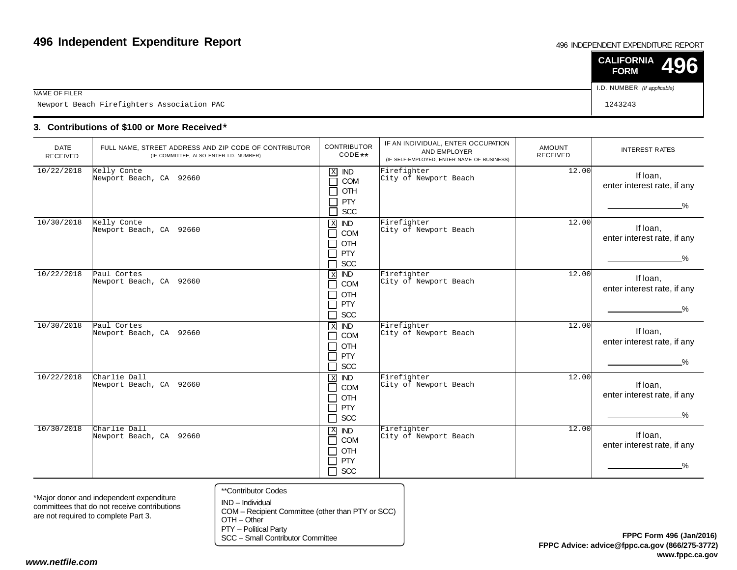#### 496 INDEPENDENT EXPENDITURE REPORT

|                                            | $\vert$ CALIFORNIA 496<br><b>FORM</b> |  |
|--------------------------------------------|---------------------------------------|--|
| NAME OF FILER                              | I.D. NUMBER (If applicable)           |  |
| Newport Beach Firefighters Association PAC | 1243243                               |  |

### **3. Contributions of \$100 or More Received**\*

| <b>DATE</b><br><b>RECEIVED</b> | FULL NAME, STREET ADDRESS AND ZIP CODE OF CONTRIBUTOR<br>(IF COMMITTEE, ALSO ENTER I.D. NUMBER) | <b>CONTRIBUTOR</b><br>$CODE**$                                                                                     | IF AN INDIVIDUAL, ENTER OCCUPATION<br>AND EMPLOYER<br>(IF SELF-EMPLOYED, ENTER NAME OF BUSINESS) | <b>AMOUNT</b><br><b>RECEIVED</b> | <b>INTEREST RATES</b>                                    |
|--------------------------------|-------------------------------------------------------------------------------------------------|--------------------------------------------------------------------------------------------------------------------|--------------------------------------------------------------------------------------------------|----------------------------------|----------------------------------------------------------|
| 10/22/2018                     | Kelly Conte<br>Newport Beach, CA 92660                                                          | $\mathbf X$<br><b>IND</b><br>COM<br>$\mathcal{L}$<br>OTH<br><b>PTY</b><br>SCC<br>┑                                 | Firefighter<br>City of Newport Beach                                                             | 12.00                            | If Ioan,<br>enter interest rate, if any<br>$\%$          |
| 10/30/2018                     | Kelly Conte<br>Newport Beach, CA 92660                                                          | $\mathbf{X}$<br><b>IND</b><br>COM<br>٦<br>OTH<br>$\blacksquare$<br>PTY<br>$\blacksquare$<br><b>SCC</b>             | Firefighter<br>City of Newport Beach                                                             | 12.00                            | If Ioan,<br>enter interest rate, if any<br>$\frac{9}{6}$ |
| 10/22/2018                     | Paul Cortes<br>Newport Beach, CA 92660                                                          | $\overline{ND}$<br>$\,$ X<br>COM<br>$\blacksquare$<br><b>OTH</b><br>$\blacksquare$<br><b>PTY</b><br>┓<br>SCC<br>门。 | Firefighter<br>City of Newport Beach                                                             | 12.00                            | If Ioan.<br>enter interest rate, if any<br>$\frac{0}{2}$ |
| 10/30/2018                     | Paul Cortes<br>Newport Beach, CA 92660                                                          | $X$ IND<br>COM<br>$\blacksquare$<br>OTH<br>$\blacksquare$<br>PTY<br>$\blacksquare$<br><b>SCC</b>                   | Firefighter<br>City of Newport Beach                                                             | $\overline{1}$ 2.00              | If Ioan,<br>enter interest rate, if any<br>$\%$          |
| 10/22/2018                     | Charlie Dall<br>Newport Beach, CA 92660                                                         | $\mathbf X$<br><b>IND</b><br>COM<br>$\blacksquare$<br>OTH<br>┓<br>PTY<br>┓<br>$\Box$ SCC                           | Firefighter<br>City of Newport Beach                                                             | 12.00                            | If loan,<br>enter interest rate, if any<br>$\frac{9}{6}$ |
| 10/30/2018                     | Charlie Dall<br>Newport Beach, CA 92660                                                         | $X$ <b>ND</b><br><b>COM</b><br>$\blacksquare$<br>OTH<br>PTY<br>$\blacksquare$<br><b>SCC</b><br>$\cdot$ ) .         | Firefighter<br>City of Newport Beach                                                             | 12.00                            | If loan,<br>enter interest rate, if any<br>$\frac{0}{2}$ |

\*Major donor and independent expenditure committees that do not receive contributionsare not required to complete Part 3.

- \*\*Contributor Codes
- IND Individual COM – Recipient Committee (other than PTY or SCC)OTH – Other

PTY – Political Party

SCC – Small Contributor Committee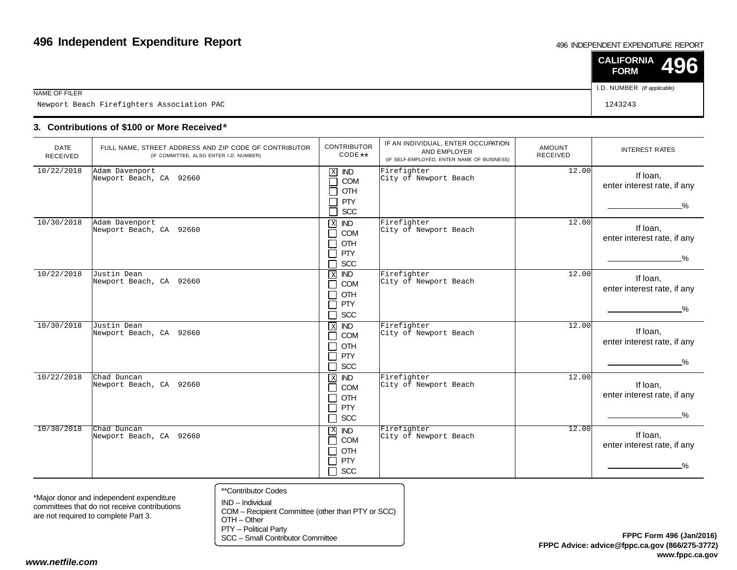#### 496 INDEPENDENT EXPENDITURE REPORT

|                                            | $\vert$ CALIFORNIA 496<br><b>FORM</b> |  |
|--------------------------------------------|---------------------------------------|--|
| NAME OF FILER                              | I.D. NUMBER (If applicable)           |  |
| Newport Beach Firefighters Association PAC | 1243243                               |  |

### **3. Contributions of \$100 or More Received**\*

| <b>DATE</b><br><b>RECEIVED</b> | FULL NAME, STREET ADDRESS AND ZIP CODE OF CONTRIBUTOR<br>(IF COMMITTEE, ALSO ENTER I.D. NUMBER) | <b>CONTRIBUTOR</b><br>$CODE**$                                                                                                       | IF AN INDIVIDUAL, ENTER OCCUPATION<br>AND EMPLOYER<br>(IF SELF-EMPLOYED, ENTER NAME OF BUSINESS) | AMOUNT<br><b>RECEIVED</b> | <b>INTEREST RATES</b>                                    |
|--------------------------------|-------------------------------------------------------------------------------------------------|--------------------------------------------------------------------------------------------------------------------------------------|--------------------------------------------------------------------------------------------------|---------------------------|----------------------------------------------------------|
| 10/22/2018                     | Adam Davenport<br>Newport Beach, CA 92660                                                       | $\mathbf X$<br><b>IND</b><br>COM<br>OTH<br>PTY<br>SCC<br>Ξ                                                                           | Firefighter<br>City of Newport Beach                                                             | 12.00                     | If loan,<br>enter interest rate, if any<br>$\%$          |
| 10/30/2018                     | Adam Davenport<br>Newport Beach, CA 92660                                                       | $\mathbf X$<br><b>IND</b><br><b>COM</b><br>$\blacksquare$<br>OTH<br><b>PTY</b><br><b>SCC</b>                                         | Firefighter<br>City of Newport Beach                                                             | 12.00                     | If loan,<br>enter interest rate, if any<br>$\frac{9}{6}$ |
| 10/22/2018                     | Justin Dean<br>Newport Beach, CA 92660                                                          | <b>IND</b><br>$\overline{\mathbf{x}}$<br>COM<br>$\mathcal{L}$<br>OTH<br><b>PTY</b><br>$\blacksquare$<br><b>SCC</b><br>$\blacksquare$ | Firefighter<br>City of Newport Beach                                                             | 12.00                     | If Ioan,<br>enter interest rate, if any<br>$\frac{9}{6}$ |
| 10/30/2018                     | Justin Dean<br>Newport Beach, CA 92660                                                          | $X$ <b>ND</b><br>COM<br>$\blacksquare$<br>OTH<br><b>PTY</b><br>$\mathcal{L}$<br><b>SCC</b><br>ᄀ                                      | Firefighter<br>City of Newport Beach                                                             | 12.00                     | If Ioan,<br>enter interest rate, if any<br>$\%$          |
| 10/22/2018                     | Chad Duncan<br>Newport Beach, CA 92660                                                          | $\overline{X}$<br><b>IND</b><br><b>COM</b><br>┓<br>OTH<br>$\blacksquare$<br>PTY<br>┓<br>SCC<br>$\Box$                                | Firefighter<br>City of Newport Beach                                                             | 12.00                     | If loan,<br>enter interest rate, if any<br>%             |
| 10/30/2018                     | Chad Duncan<br>Newport Beach, CA 92660                                                          | X IND<br>COM<br>$\blacksquare$<br>OTH<br><b>PTY</b><br>┑<br><b>SCC</b>                                                               | Firefighter<br>City of Newport Beach                                                             | 12.00                     | If Ioan,<br>enter interest rate, if any<br>%             |

\*Major donor and independent expenditure committees that do not receive contributionsare not required to complete Part 3.

- \*\*Contributor Codes
- IND Individual COM – Recipient Committee (other than PTY or SCC)OTH – Other

PTY – Political Party

SCC – Small Contributor Committee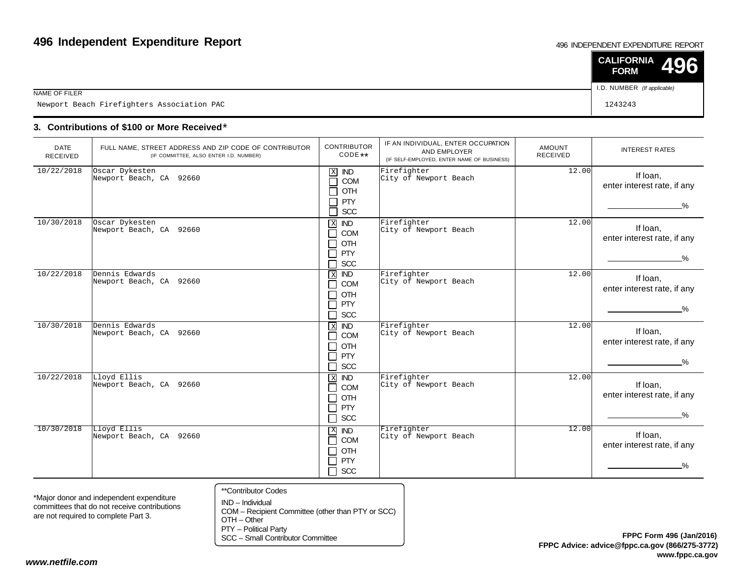#### 496 INDEPENDENT EXPENDITURE REPORT

|                                            | $\vert$ CALIFORNIA 496<br><b>FORM</b> |  |
|--------------------------------------------|---------------------------------------|--|
| NAME OF FILER                              | I.D. NUMBER (If applicable)           |  |
| Newport Beach Firefighters Association PAC | 1243243                               |  |

### **3. Contributions of \$100 or More Received**\*

| <b>DATE</b><br><b>RECEIVED</b> | FULL NAME, STREET ADDRESS AND ZIP CODE OF CONTRIBUTOR<br>(IF COMMITTEE, ALSO ENTER I.D. NUMBER) | <b>CONTRIBUTOR</b><br>$CODE**$                                                                                                 | IF AN INDIVIDUAL, ENTER OCCUPATION<br>AND EMPLOYER<br>(IF SELF-EMPLOYED, ENTER NAME OF BUSINESS) | AMOUNT<br><b>RECEIVED</b> | <b>INTEREST RATES</b>                                    |
|--------------------------------|-------------------------------------------------------------------------------------------------|--------------------------------------------------------------------------------------------------------------------------------|--------------------------------------------------------------------------------------------------|---------------------------|----------------------------------------------------------|
| 10/22/2018                     | Oscar Dykesten<br>Newport Beach, CA 92660                                                       | $\mathbf X$<br><b>IND</b><br>COM<br>OTH<br><b>PTY</b><br>SCC<br>e<br>S                                                         | Firefighter<br>City of Newport Beach                                                             | 12.00                     | If loan,<br>enter interest rate, if any<br>$\%$          |
| 10/30/2018                     | Oscar Dykesten<br>Newport Beach, CA 92660                                                       | X <b>IND</b><br>COM<br>$\blacksquare$<br><b>OTH</b><br>$\blacksquare$<br>PTY<br><b>SCC</b><br>$\blacksquare$                   | Firefighter<br>City of Newport Beach                                                             | 12.00                     | If loan,<br>enter interest rate, if any<br>$\frac{9}{6}$ |
| 10/22/2018                     | Dennis Edwards<br>Newport Beach, CA 92660                                                       | $\overline{ND}$<br>$\,$ X<br><b>COM</b><br>$\blacksquare$<br>OTH<br>$\blacksquare$<br>PTY<br>$\blacksquare$<br><b>SCC</b><br>٦ | Firefighter<br>City of Newport Beach                                                             | 12.00                     | If loan,<br>enter interest rate, if any<br>$\frac{9}{6}$ |
| 10/30/2018                     | Dennis Edwards<br>Newport Beach, CA 92660                                                       | <b>X ND</b><br><b>COM</b><br>$\blacksquare$<br>OTH<br>$\blacksquare$<br>PTY<br>$\blacksquare$<br><b>SCC</b><br>┓               | Firefighter<br>City of Newport Beach                                                             | 12.00                     | If Ioan,<br>enter interest rate, if any<br>%             |
| 10/22/2018                     | Lloyd Ellis<br>Newport Beach, CA 92660                                                          | $\mathbf{X}$<br><b>IND</b><br>COM<br>$\blacksquare$<br>OTH<br>$\blacksquare$<br><b>PTY</b><br>٦<br>SCC<br>$\Box$               | Firefighter<br>City of Newport Beach                                                             | 12.00                     | If Ioan,<br>enter interest rate, if any<br>$\%$          |
| 10/30/2018                     | Lloyd Ellis<br>Newport Beach, CA 92660                                                          | $X$ <b>ND</b><br>COM<br>┓<br>OTH<br>$\blacksquare$<br><b>PTY</b><br>$\blacksquare$<br>$\Box$ scc                               | Firefighter<br>City of Newport Beach                                                             | 12.00                     | If Ioan,<br>enter interest rate, if any<br>$\frac{0}{6}$ |

\*Major donor and independent expenditure committees that do not receive contributionsare not required to complete Part 3.

- \*\*Contributor Codes
- IND Individual COM – Recipient Committee (other than PTY or SCC)OTH – Other

PTY – Political Party

SCC – Small Contributor Committee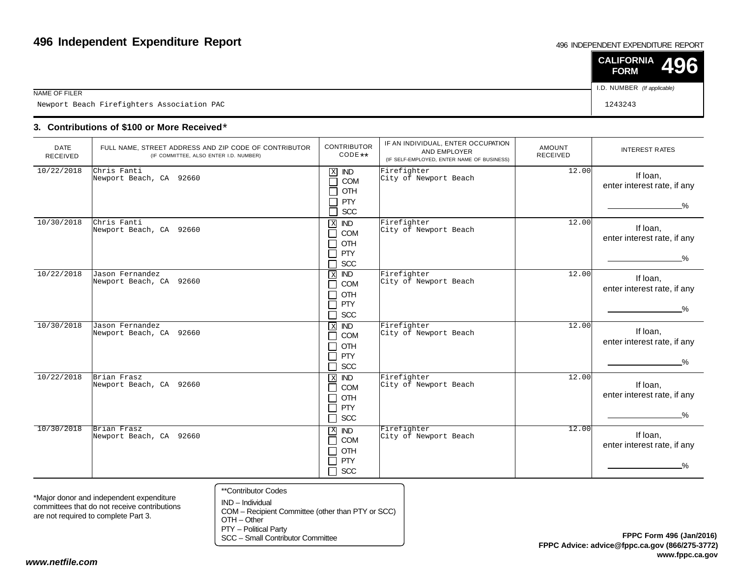#### 496 INDEPENDENT EXPENDITURE REPORT

|                                            | $\vert$ CALIFORNIA 496<br><b>FORM</b> |  |
|--------------------------------------------|---------------------------------------|--|
| NAME OF FILER                              | I.D. NUMBER (If applicable)           |  |
| Newport Beach Firefighters Association PAC | 1243243                               |  |

### **3. Contributions of \$100 or More Received**\*

| <b>DATE</b><br>RECEIVED | FULL NAME, STREET ADDRESS AND ZIP CODE OF CONTRIBUTOR<br>(IF COMMITTEE, ALSO ENTER I.D. NUMBER) | <b>CONTRIBUTOR</b><br>CODE **                                                                                                     | IF AN INDIVIDUAL, ENTER OCCUPATION<br>AND EMPLOYER<br>(IF SELF-EMPLOYED, ENTER NAME OF BUSINESS) | AMOUNT<br><b>RECEIVED</b> | <b>INTEREST RATES</b>                                    |
|-------------------------|-------------------------------------------------------------------------------------------------|-----------------------------------------------------------------------------------------------------------------------------------|--------------------------------------------------------------------------------------------------|---------------------------|----------------------------------------------------------|
| 10/22/2018              | Chris Fanti<br>Newport Beach, CA 92660                                                          | $\mathbf X$<br><b>IND</b><br>COM<br>$\mathcal{L}$<br>OTH<br><b>PTY</b><br>SCC<br>$\mathcal{L}_{\mathcal{A}}$                      | Firefighter<br>City of Newport Beach                                                             | 12.00                     | If Ioan,<br>enter interest rate, if any<br>$\%$          |
| 10/30/2018              | Chris Fanti<br>Newport Beach, CA 92660                                                          | X <b>ND</b><br>COM<br>$\blacksquare$<br>OTH<br>$\blacksquare$<br><b>PTY</b><br><b>SCC</b>                                         | Firefighter<br>City of Newport Beach                                                             | 12.00                     | If loan,<br>enter interest rate, if any<br>$\frac{9}{6}$ |
| 10/22/2018              | Jason Fernandez<br>Newport Beach, CA 92660                                                      | $\overline{ND}$<br>$\,$ X<br>COM<br>$\blacksquare$<br>OTH<br>$\blacksquare$<br>PTY<br>$\blacksquare$<br><b>SCC</b><br>٦           | Firefighter<br>City of Newport Beach                                                             | 12.00                     | If Ioan,<br>enter interest rate, if any<br>$\frac{9}{6}$ |
| 10/30/2018              | Jason Fernandez<br>Newport Beach, CA 92660                                                      | $X$ IND<br><b>COM</b><br>$\blacksquare$<br>OTH<br><b>PTY</b><br>$\sim$<br><b>SCC</b><br>ㄱ                                         | Firefighter<br>City of Newport Beach                                                             | 12.00                     | If loan,<br>enter interest rate, if any<br>$\%$          |
| 10/22/2018              | Brian Frasz<br>Newport Beach, CA 92660                                                          | $X$ <b>ND</b><br><b>COM</b><br>$\blacksquare$<br><b>OTH</b><br>$\blacksquare$<br><b>PTY</b><br>$\blacksquare$<br><b>SCC</b><br>Q. | Firefighter<br>City of Newport Beach                                                             | 12.00                     | If Ioan,<br>enter interest rate, if any<br>%             |
| 10/30/2018              | Brian Frasz<br>Newport Beach, CA 92660                                                          | $X$ <b>ND</b><br><b>COM</b><br>П<br>OTH<br>┓<br><b>PTY</b><br>┑<br><b>SCC</b><br>┑                                                | Firefighter<br>City of Newport Beach                                                             | 12.00                     | If loan,<br>enter interest rate, if any<br>%             |

\*Major donor and independent expenditure committees that do not receive contributionsare not required to complete Part 3.

- \*\*Contributor Codes
- IND Individual COM – Recipient Committee (other than PTY or SCC)OTH – Other

PTY – Political Party

SCC – Small Contributor Committee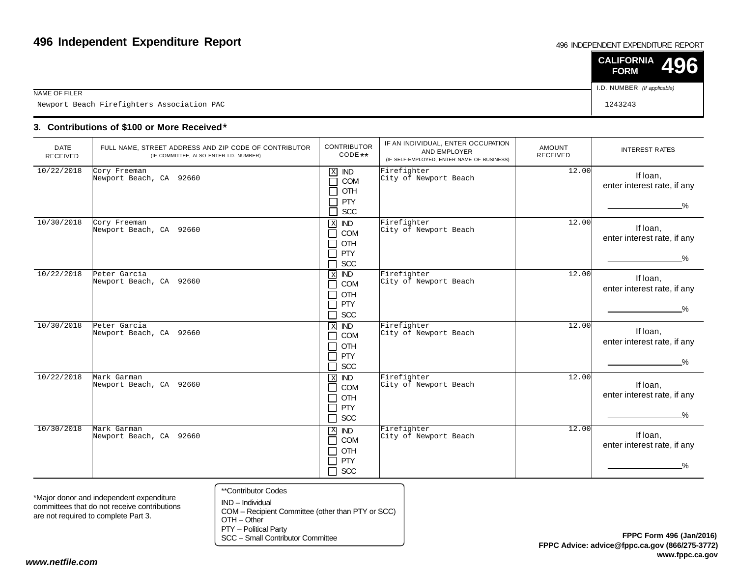#### 496 INDEPENDENT EXPENDITURE REPORT

|                                            | $\vert$ CALIFORNIA 496<br><b>FORM</b> |  |
|--------------------------------------------|---------------------------------------|--|
| NAME OF FILER                              | I.D. NUMBER (If applicable)           |  |
| Newport Beach Firefighters Association PAC | 1243243                               |  |

### **3. Contributions of \$100 or More Received**\*

| <b>DATE</b><br>RECEIVED | FULL NAME, STREET ADDRESS AND ZIP CODE OF CONTRIBUTOR<br>(IF COMMITTEE, ALSO ENTER I.D. NUMBER) | <b>CONTRIBUTOR</b><br>CODE **                                                                                                     | IF AN INDIVIDUAL, ENTER OCCUPATION<br>AND EMPLOYER<br>(IF SELF-EMPLOYED, ENTER NAME OF BUSINESS) | AMOUNT<br><b>RECEIVED</b> | <b>INTEREST RATES</b>                                    |
|-------------------------|-------------------------------------------------------------------------------------------------|-----------------------------------------------------------------------------------------------------------------------------------|--------------------------------------------------------------------------------------------------|---------------------------|----------------------------------------------------------|
| 10/22/2018              | Cory Freeman<br>Newport Beach, CA 92660                                                         | $\mathbf X$<br><b>IND</b><br>COM<br>$\mathcal{L}$<br>OTH<br><b>PTY</b><br>SCC<br>$\mathcal{L}_{\mathcal{A}}$                      | Firefighter<br>City of Newport Beach                                                             | 12.00                     | If Ioan,<br>enter interest rate, if any<br>$\%$          |
| 10/30/2018              | Cory Freeman<br>Newport Beach, CA 92660                                                         | X <b>ND</b><br>COM<br>$\blacksquare$<br>OTH<br>$\blacksquare$<br><b>PTY</b><br><b>SCC</b>                                         | Firefighter<br>City of Newport Beach                                                             | 12.00                     | If loan,<br>enter interest rate, if any<br>$\frac{9}{6}$ |
| 10/22/2018              | Peter Garcia<br>Newport Beach, CA 92660                                                         | $\overline{ND}$<br>$\,$ X<br>COM<br>$\blacksquare$<br>OTH<br>$\blacksquare$<br>PTY<br>$\blacksquare$<br><b>SCC</b><br>٦           | Firefighter<br>City of Newport Beach                                                             | 12.00                     | If Ioan,<br>enter interest rate, if any<br>$\frac{9}{6}$ |
| 10/30/2018              | Peter Garcia<br>Newport Beach, CA 92660                                                         | $X$ IND<br><b>COM</b><br>$\blacksquare$<br>OTH<br><b>PTY</b><br>$\sim$<br><b>SCC</b><br>ㄱ                                         | Firefighter<br>City of Newport Beach                                                             | 12.00                     | If loan,<br>enter interest rate, if any<br>$\%$          |
| 10/22/2018              | Mark Garman<br>Newport Beach, CA 92660                                                          | $X$ <b>ND</b><br><b>COM</b><br>$\blacksquare$<br><b>OTH</b><br>$\blacksquare$<br><b>PTY</b><br>$\blacksquare$<br><b>SCC</b><br>Q. | Firefighter<br>City of Newport Beach                                                             | 12.00                     | If Ioan,<br>enter interest rate, if any<br>%             |
| 10/30/2018              | Mark Garman<br>Newport Beach, CA 92660                                                          | $X$ <b>ND</b><br><b>COM</b><br>П<br>OTH<br>┓<br><b>PTY</b><br>┑<br><b>SCC</b><br>┑                                                | Firefighter<br>City of Newport Beach                                                             | 12.00                     | If loan,<br>enter interest rate, if any<br>%             |

\*Major donor and independent expenditure committees that do not receive contributionsare not required to complete Part 3.

- \*\*Contributor Codes
- IND Individual COM – Recipient Committee (other than PTY or SCC)OTH – Other

PTY – Political Party

SCC – Small Contributor Committee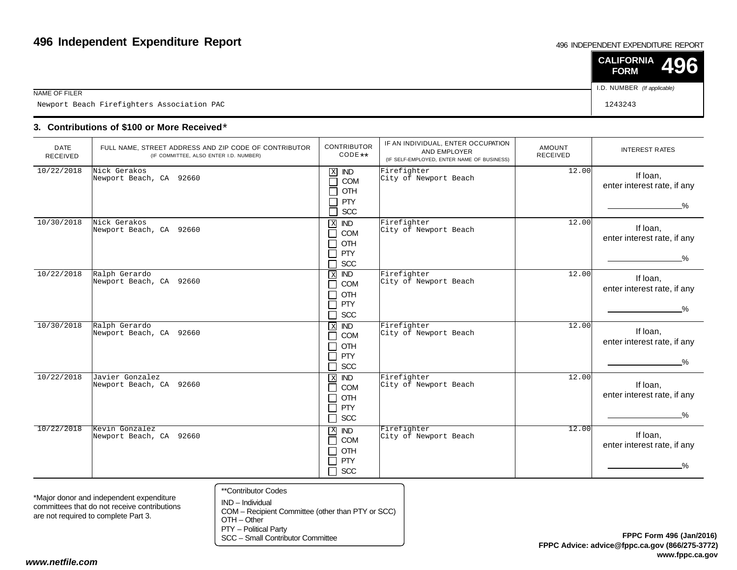#### 496 INDEPENDENT EXPENDITURE REPORT

|                                            | $\vert$ CALIFORNIA 496<br><b>FORM</b> |  |
|--------------------------------------------|---------------------------------------|--|
| NAME OF FILER                              | I.D. NUMBER (If applicable)           |  |
| Newport Beach Firefighters Association PAC | 1243243                               |  |

### **3. Contributions of \$100 or More Received**\*

| <b>DATE</b><br><b>RECEIVED</b> | FULL NAME, STREET ADDRESS AND ZIP CODE OF CONTRIBUTOR<br>(IF COMMITTEE, ALSO ENTER I.D. NUMBER) | <b>CONTRIBUTOR</b><br>CODE **                                                                                                                    | IF AN INDIVIDUAL, ENTER OCCUPATION<br>AND EMPLOYER<br>(IF SELF-EMPLOYED, ENTER NAME OF BUSINESS) | <b>AMOUNT</b><br><b>RECEIVED</b> | <b>INTEREST RATES</b>                                    |
|--------------------------------|-------------------------------------------------------------------------------------------------|--------------------------------------------------------------------------------------------------------------------------------------------------|--------------------------------------------------------------------------------------------------|----------------------------------|----------------------------------------------------------|
| 10/22/2018                     | Nick Gerakos<br>Newport Beach, CA 92660                                                         | $\mathbf X$<br><b>IND</b><br>COM<br>$\mathcal{L}$<br>OTH<br>$\sim$<br><b>PTY</b><br>SCC<br>$\Box$                                                | Firefighter<br>City of Newport Beach                                                             | 12.00                            | If Ioan,<br>enter interest rate, if any<br>$\%$          |
| 10/30/2018                     | Nick Gerakos<br>Newport Beach, CA 92660                                                         | $\mathbf X$<br><b>IND</b><br>COM<br>$\blacksquare$<br>OTH<br>$\blacksquare$<br><b>PTY</b><br>$\mathcal{L}_{\mathcal{A}}$<br><b>SCC</b><br>$\sim$ | Firefighter<br>City of Newport Beach                                                             | 12.00                            | If loan,<br>enter interest rate, if any<br>$\frac{9}{6}$ |
| 10/22/2018                     | Ralph Gerardo<br>Newport Beach, CA 92660                                                        | <b>IND</b><br>$\boxed{\text{x}}$<br>COM<br>$\sim$<br>OTH<br>$\blacksquare$<br><b>PTY</b><br>$\blacksquare$<br>SCC<br>$\mathcal{L}_{\mathcal{A}}$ | Firefighter<br>City of Newport Beach                                                             | 12.00                            | If Ioan,<br>enter interest rate, if any<br>$\frac{0}{2}$ |
| 10/30/2018                     | Ralph Gerardo<br>Newport Beach, CA 92660                                                        | $\overline{\mathbf{x}}$<br><b>IND</b><br>COM<br>$\blacksquare$<br>OTH<br>$\Box$<br><b>PTY</b><br>$\sim$<br><b>SCC</b>                            | Firefighter<br>City of Newport Beach                                                             | 12.00                            | If Ioan,<br>enter interest rate, if any<br>$\frac{9}{6}$ |
| 10/22/2018                     | Javier Gonzalez<br>Newport Beach, CA 92660                                                      | <b>IND</b><br>$\mathbf X$<br>COM<br>$\blacksquare$<br>OTH<br>$\blacksquare$<br><b>PTY</b><br>Π<br>SCC<br>П                                       | Firefighter<br>City of Newport Beach                                                             | 12.00                            | If loan,<br>enter interest rate, if any<br>$\%$          |
| 10/22/2018                     | Kevin Gonzalez<br>Newport Beach, CA 92660                                                       | $\mathbf{X}$<br><b>IND</b><br>COM<br>$\Box$<br>OTH<br>┓<br>┑<br><b>PTY</b><br>SCC<br>$\Box$                                                      | Firefighter<br>City of Newport Beach                                                             | 12.00                            | If loan,<br>enter interest rate, if any<br>$\frac{9}{6}$ |

\*Major donor and independent expenditure committees that do not receive contributionsare not required to complete Part 3.

- \*\*Contributor Codes
- IND Individual COM – Recipient Committee (other than PTY or SCC)OTH – Other

PTY – Political Party

SCC – Small Contributor Committee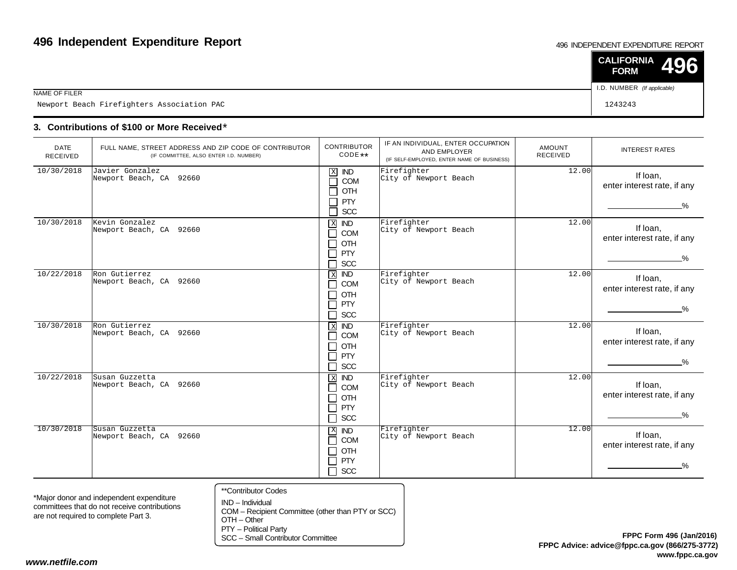#### 496 INDEPENDENT EXPENDITURE REPORT

|                                            | $\vert$ CALIFORNIA 496<br><b>FORM</b> |
|--------------------------------------------|---------------------------------------|
| NAME OF FILER                              | I.D. NUMBER (If applicable)           |
| Newport Beach Firefighters Association PAC | 1243243                               |

### **3. Contributions of \$100 or More Received**\*

| <b>DATE</b><br><b>RECEIVED</b> | FULL NAME, STREET ADDRESS AND ZIP CODE OF CONTRIBUTOR<br>(IF COMMITTEE, ALSO ENTER I.D. NUMBER) | <b>CONTRIBUTOR</b><br>CODE **                                                                                 | IF AN INDIVIDUAL, ENTER OCCUPATION<br>AND EMPLOYER<br>(IF SELF-EMPLOYED, ENTER NAME OF BUSINESS) | <b>AMOUNT</b><br><b>RECEIVED</b> | <b>INTEREST RATES</b>                                    |
|--------------------------------|-------------------------------------------------------------------------------------------------|---------------------------------------------------------------------------------------------------------------|--------------------------------------------------------------------------------------------------|----------------------------------|----------------------------------------------------------|
| 10/30/2018                     | Javier Gonzalez<br>Newport Beach, CA 92660                                                      | $\mathbf X$<br><b>IND</b><br>COM<br>$\Box$<br>OTH<br>П<br>$\Box$<br><b>PTY</b><br><b>SCC</b><br>П             | Firefighter<br>City of Newport Beach                                                             | 12.00                            | If Ioan,<br>enter interest rate, if any<br>$\%$          |
| 10/30/2018                     | Kevin Gonzalez<br>Newport Beach, CA 92660                                                       | $\mathbf X$<br><b>IND</b><br>$\Box$<br><b>COM</b><br>OTH<br>П<br><b>PTY</b><br>$\Box$<br><b>SCC</b><br>$\Box$ | Firefighter<br>City of Newport Beach                                                             | 12.00                            | If loan,<br>enter interest rate, if any<br>$\frac{9}{6}$ |
| 10/22/2018                     | Ron Gutierrez<br>Newport Beach, CA 92660                                                        | $\,$ X<br><b>IND</b><br>COM<br>$\Box$<br>OTH<br>П<br><b>PTY</b><br>$\Box$<br>$\Box$<br><b>SCC</b>             | Firefighter<br>City of Newport Beach                                                             | 12.00                            | If Ioan,<br>enter interest rate, if any<br>$\frac{9}{6}$ |
| 10/30/2018                     | Ron Gutierrez<br>Newport Beach, CA 92660                                                        | $X$ IND<br>COM<br>$\mathsf{L}$<br>OTH<br>$\Box$<br>$\Box$<br>PTY<br>$\Box$<br><b>SCC</b>                      | Firefighter<br>City of Newport Beach                                                             | 12.00                            | If Ioan,<br>enter interest rate, if any<br>$\frac{0}{2}$ |
| 10/22/2018                     | Susan Guzzetta<br>Newport Beach, CA 92660                                                       | <b>IND</b><br>$\mathbf{x}$<br>$\Box$<br>COM<br>OTH<br>$\Box$<br>PTY<br>$\Box$<br>$\Box$<br><b>SCC</b>         | Firefighter<br>City of Newport Beach                                                             | 12.00                            | If loan,<br>enter interest rate, if any<br>$\%$          |
| 10/30/2018                     | Susan Guzzetta<br>Newport Beach, CA 92660                                                       | $X$ IND<br>COM<br>$\mathsf{L}$<br>OTH<br>$\Box$<br>$\Box$<br><b>PTY</b><br><b>SCC</b><br>⊓                    | Firefighter<br>City of Newport Beach                                                             | 12.00                            | If loan,<br>enter interest rate, if any<br>−%            |

\*Major donor and independent expenditure committees that do not receive contributionsare not required to complete Part 3.

- \*\*Contributor Codes
- IND Individual COM – Recipient Committee (other than PTY or SCC)OTH – Other

PTY – Political Party

SCC – Small Contributor Committee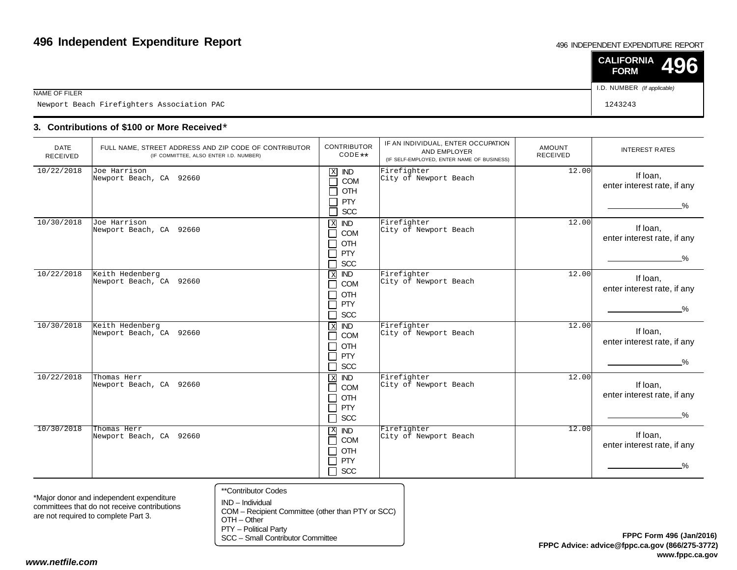#### 496 INDEPENDENT EXPENDITURE REPORT

|                                            | $\vert$ CALIFORNIA 496<br><b>FORM</b> |
|--------------------------------------------|---------------------------------------|
| NAME OF FILER                              | I.D. NUMBER (If applicable)           |
| Newport Beach Firefighters Association PAC | 1243243                               |

### **3. Contributions of \$100 or More Received**\*

| <b>DATE</b><br>RECEIVED | FULL NAME, STREET ADDRESS AND ZIP CODE OF CONTRIBUTOR<br>(IF COMMITTEE, ALSO ENTER I.D. NUMBER) | <b>CONTRIBUTOR</b><br>CODE **                                                                                                       | IF AN INDIVIDUAL, ENTER OCCUPATION<br>AND EMPLOYER<br>(IF SELF-EMPLOYED, ENTER NAME OF BUSINESS) | <b>AMOUNT</b><br><b>RECEIVED</b> | <b>INTEREST RATES</b>                                    |
|-------------------------|-------------------------------------------------------------------------------------------------|-------------------------------------------------------------------------------------------------------------------------------------|--------------------------------------------------------------------------------------------------|----------------------------------|----------------------------------------------------------|
| 10/22/2018              | Joe Harrison<br>Newport Beach, CA 92660                                                         | $\mathbf X$<br><b>IND</b><br>COM<br>П<br>OTH<br>П<br><b>PTY</b><br>$\Box$<br>SCC<br>П                                               | Firefighter<br>City of Newport Beach                                                             | 12.00                            | If Ioan,<br>enter interest rate, if any<br>$\%$          |
| 10/30/2018              | Joe Harrison<br>Newport Beach, CA 92660                                                         | $\mathbf X$<br><b>IND</b><br>COM<br>$\Box$<br>OTH<br>$\Box$<br>PTY<br>$\Box$<br><b>SCC</b>                                          | Firefighter<br>City of Newport Beach                                                             | 12.00                            | If loan,<br>enter interest rate, if any<br>$\%$          |
| 10/22/2018              | Keith Hedenberg<br>Newport Beach, CA 92660                                                      | <b>IND</b><br>$\overline{\mathbf{X}}$<br>$\Box$<br>COM<br>OTH<br>$\Box$<br>$\Box$<br><b>PTY</b><br>$\Box$<br><b>SCC</b>             | Firefighter<br>City of Newport Beach                                                             | 12.00                            | If Ioan,<br>enter interest rate, if any<br>$\frac{0}{6}$ |
| 10/30/2018              | Keith Hedenberg<br>Newport Beach, CA 92660                                                      | $\overline{ND}$<br>$\overline{X}$<br>COM<br>П<br>OTH<br>$\mathcal{L}_{\mathcal{A}}$<br><b>PTY</b><br>$\Box$<br><b>SCC</b><br>$\Box$ | Firefighter<br>City of Newport Beach                                                             | 12.00                            | If Ioan,<br>enter interest rate, if any<br>−%            |
| 10/22/2018              | Thomas Herr<br>Newport Beach, CA 92660                                                          | $\mathbf{x}$<br><b>IND</b><br>COM<br>$\Box$<br>OTH<br>$\Box$<br><b>PTY</b><br>$\Box$<br>$\Box$<br>SCC                               | Firefighter<br>City of Newport Beach                                                             | 12.00                            | If Ioan,<br>enter interest rate, if any<br>%             |
| 10/30/2018              | Thomas Herr<br>Newport Beach, CA 92660                                                          | $\mathbf{X}$<br><b>IND</b><br>$\Box$<br>COM<br>OTH<br>П<br>PTY<br>$\Box$<br>SCC<br>$\Box$                                           | Firefighter<br>City of Newport Beach                                                             | 12.00                            | If Ioan,<br>enter interest rate, if any<br>−%            |

\*Major donor and independent expenditure committees that do not receive contributionsare not required to complete Part 3.

- \*\*Contributor Codes
- IND Individual COM – Recipient Committee (other than PTY or SCC)OTH – Other

PTY – Political Party

SCC – Small Contributor Committee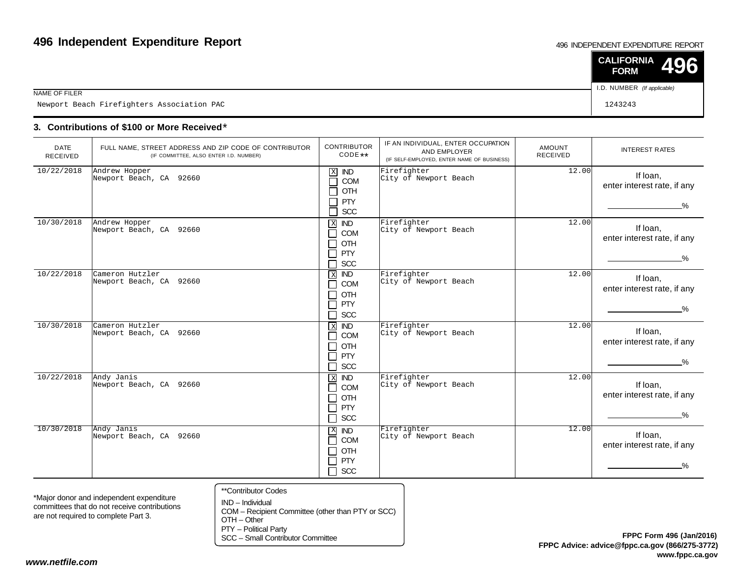#### 496 INDEPENDENT EXPENDITURE REPORT

|                                            | $\vert$ CALIFORNIA 496<br><b>FORM</b> |  |
|--------------------------------------------|---------------------------------------|--|
| NAME OF FILER                              | I.D. NUMBER (If applicable)           |  |
| Newport Beach Firefighters Association PAC | 1243243                               |  |

### **3. Contributions of \$100 or More Received**\*

| <b>DATE</b><br><b>RECEIVED</b> | FULL NAME, STREET ADDRESS AND ZIP CODE OF CONTRIBUTOR<br>(IF COMMITTEE, ALSO ENTER I.D. NUMBER) | <b>CONTRIBUTOR</b><br>CODE **                                                                                                    | IF AN INDIVIDUAL, ENTER OCCUPATION<br>AND EMPLOYER<br>(IF SELF-EMPLOYED, ENTER NAME OF BUSINESS) | AMOUNT<br><b>RECEIVED</b> | <b>INTEREST RATES</b>                                    |
|--------------------------------|-------------------------------------------------------------------------------------------------|----------------------------------------------------------------------------------------------------------------------------------|--------------------------------------------------------------------------------------------------|---------------------------|----------------------------------------------------------|
| 10/22/2018                     | Andrew Hopper<br>Newport Beach, CA 92660                                                        | $\mathbf X$<br><b>IND</b><br>COM<br>$\sim$<br>OTH<br><b>PTY</b><br>SCC<br>┑                                                      | Firefighter<br>City of Newport Beach                                                             | 12.00                     | If loan,<br>enter interest rate, if any<br>$\%$          |
| 10/30/2018                     | Andrew Hopper<br>Newport Beach, CA 92660                                                        | $X$ IND<br>COM<br>$\blacksquare$<br>OTH<br>$\blacksquare$<br>PTY<br>$\mathcal{L}$<br><b>SCC</b><br>$\blacksquare$                | Firefighter<br>City of Newport Beach                                                             | 12.00                     | If loan,<br>enter interest rate, if any<br>$\frac{9}{6}$ |
| 10/22/2018                     | Cameron Hutzler<br>Newport Beach, CA 92660                                                      | <b>IND</b><br>$\,$ X<br><b>COM</b><br>$\blacksquare$<br>OTH<br>$\blacksquare$<br><b>PTY</b><br>$\blacksquare$<br><b>SCC</b><br>┐ | Firefighter<br>City of Newport Beach                                                             | 12.00                     | If loan,<br>enter interest rate, if any<br>$\frac{9}{6}$ |
| 10/30/2018                     | Cameron Hutzler<br>Newport Beach, CA 92660                                                      | $X$ IND<br><b>COM</b><br>$\blacksquare$<br><b>OTH</b><br>$\overline{\phantom{a}}$<br>PTY<br>┓<br><b>SCC</b><br>┐                 | Firefighter<br>City of Newport Beach                                                             | 12.00                     | If loan,<br>enter interest rate, if any<br>$\%$          |
| 10/22/2018                     | Andy Janis<br>Newport Beach, CA 92660                                                           | $\,$ X<br><b>IND</b><br>COM<br>$\blacksquare$<br>OTH<br>$\blacksquare$<br>PTY<br>$\blacksquare$<br>SCC<br>┐                      | Firefighter<br>City of Newport Beach                                                             | 12.00                     | If Ioan,<br>enter interest rate, if any<br>$\frac{0}{2}$ |
| 10/30/2018                     | Andy Janis<br>Newport Beach, CA 92660                                                           | $\mathbf{X}$<br><b>IND</b><br>COM<br>٦<br>OTH<br>$\blacksquare$<br>PTY<br>┓<br>$\Box$ SCC                                        | Firefighter<br>City of Newport Beach                                                             | 12.00                     | If loan,<br>enter interest rate, if any<br>%             |

\*Major donor and independent expenditure committees that do not receive contributionsare not required to complete Part 3.

- \*\*Contributor Codes
- IND Individual COM – Recipient Committee (other than PTY or SCC)OTH – Other

PTY – Political Party

SCC – Small Contributor Committee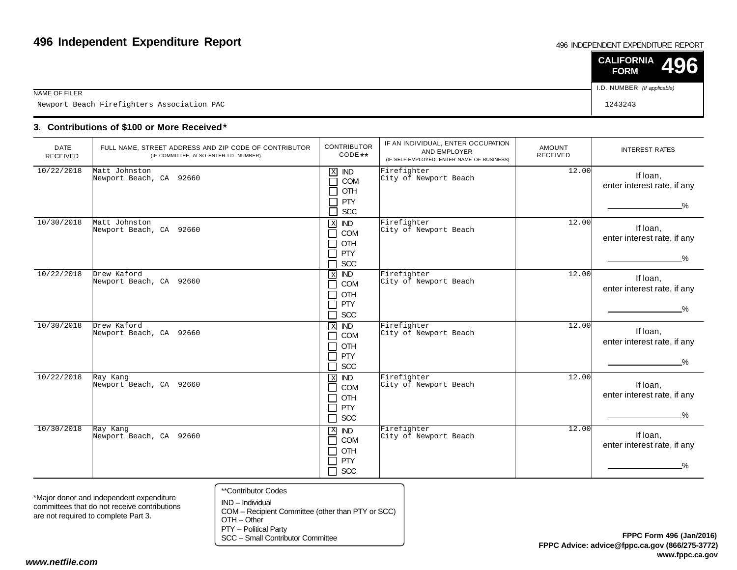#### 496 INDEPENDENT EXPENDITURE REPORT

|                                            | $\vert$ CALIFORNIA 496<br><b>FORM</b> |  |
|--------------------------------------------|---------------------------------------|--|
| NAME OF FILER                              | I.D. NUMBER (If applicable)           |  |
| Newport Beach Firefighters Association PAC | 1243243                               |  |

### **3. Contributions of \$100 or More Received**\*

| <b>DATE</b><br>RECEIVED | FULL NAME, STREET ADDRESS AND ZIP CODE OF CONTRIBUTOR<br>(IF COMMITTEE, ALSO ENTER I.D. NUMBER) | <b>CONTRIBUTOR</b><br>$CODE**$                                                                                                 | IF AN INDIVIDUAL, ENTER OCCUPATION<br>AND EMPLOYER<br>(IF SELF-EMPLOYED, ENTER NAME OF BUSINESS) | <b>AMOUNT</b><br><b>RECEIVED</b> | <b>INTEREST RATES</b>                           |
|-------------------------|-------------------------------------------------------------------------------------------------|--------------------------------------------------------------------------------------------------------------------------------|--------------------------------------------------------------------------------------------------|----------------------------------|-------------------------------------------------|
| 10/22/2018              | Matt Johnston<br>Newport Beach, CA 92660                                                        | $\mathbf X$<br><b>IND</b><br>П<br>COM<br>OTH<br>$\mathcal{L}$<br>PTY<br>Ξ,<br>SCC<br>┑                                         | Firefighter<br>City of Newport Beach                                                             | 12.00                            | If loan,<br>enter interest rate, if any<br>$\%$ |
| 10/30/2018              | Matt Johnston<br>Newport Beach, CA 92660                                                        | $\mathbf X$<br><b>IND</b><br>COM<br>$\Box$<br>OTH<br>$\Box$<br>PTY<br>$\Box$<br>SCC<br>$\Box$                                  | Firefighter<br>City of Newport Beach                                                             | 12.00                            | If Ioan,<br>enter interest rate, if any<br>_%   |
| 10/22/2018              | Drew Kaford<br>Newport Beach, CA 92660                                                          | $\overline{X}$<br><b>IND</b><br>COM<br>$\Box$<br><b>OTH</b><br>$\blacksquare$<br><b>PTY</b><br>$\mathsf{L}$<br>П<br><b>SCC</b> | Firefighter<br>City of Newport Beach                                                             | 12.00                            | If Ioan,<br>enter interest rate, if any<br>$\%$ |
| 10/30/2018              | Drew Kaford<br>Newport Beach, CA 92660                                                          | $X$ IND<br>COM<br>$\mathsf{L}$<br>OTH<br>П<br>┑<br>PTY<br>SCC<br>П                                                             | Firefighter<br>City of Newport Beach                                                             | $\overline{12.00}$               | If Ioan.<br>enter interest rate, if any<br>%    |
| 10/22/2018              | Ray Kang<br>Newport Beach, CA 92660                                                             | $X$ IND<br><b>COM</b><br>П<br>OTH<br>П<br>PTY<br>П<br>SCC<br>П                                                                 | Firefighter<br>City of Newport Beach                                                             | 12.00                            | If Ioan,<br>enter interest rate, if any<br>$\%$ |
| 10/30/2018              | Ray Kang<br>Newport Beach, CA 92660                                                             | $X$ ND<br>COM<br>П<br>OTH<br>П<br>⊓<br><b>PTY</b><br>$\Box$ scc                                                                | Firefighter<br>City of Newport Beach                                                             | 12.00                            | If Ioan,<br>enter interest rate, if any<br>$\%$ |

\*Major donor and independent expenditure committees that do not receive contributionsare not required to complete Part 3.

- \*\*Contributor Codes
- IND Individual COM – Recipient Committee (other than PTY or SCC)OTH – Other

PTY – Political Party

SCC – Small Contributor Committee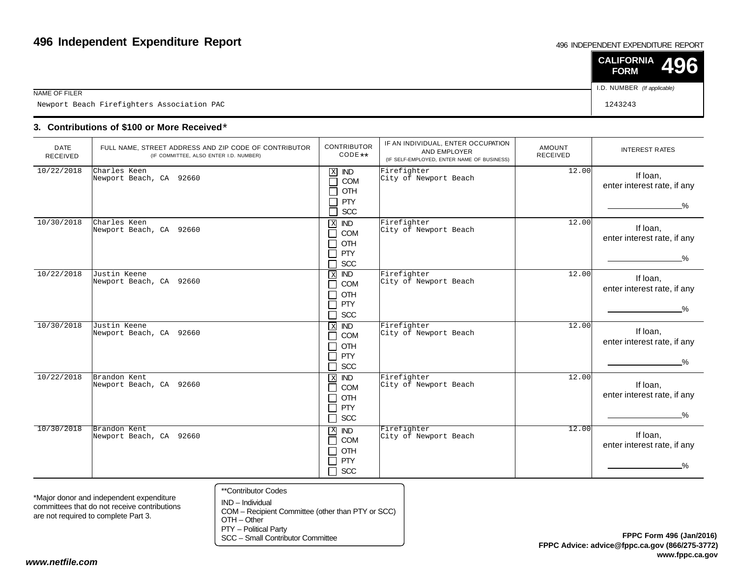#### 496 INDEPENDENT EXPENDITURE REPORT

|                                            | $\vert$ CALIFORNIA 496<br><b>FORM</b> |  |
|--------------------------------------------|---------------------------------------|--|
| NAME OF FILER                              | I.D. NUMBER (If applicable)           |  |
| Newport Beach Firefighters Association PAC | 1243243                               |  |

### **3. Contributions of \$100 or More Received**\*

| <b>DATE</b><br><b>RECEIVED</b> | FULL NAME, STREET ADDRESS AND ZIP CODE OF CONTRIBUTOR<br>(IF COMMITTEE, ALSO ENTER I.D. NUMBER) | <b>CONTRIBUTOR</b><br>$CODE**$                                                                                     | IF AN INDIVIDUAL, ENTER OCCUPATION<br>AND EMPLOYER<br>(IF SELF-EMPLOYED, ENTER NAME OF BUSINESS) | <b>AMOUNT</b><br><b>RECEIVED</b> | <b>INTEREST RATES</b>                                    |
|--------------------------------|-------------------------------------------------------------------------------------------------|--------------------------------------------------------------------------------------------------------------------|--------------------------------------------------------------------------------------------------|----------------------------------|----------------------------------------------------------|
| 10/22/2018                     | Charles Keen<br>Newport Beach, CA 92660                                                         | $\mathbf X$<br><b>IND</b><br>COM<br>$\mathcal{L}$<br>OTH<br><b>PTY</b><br>SCC<br>┑                                 | Firefighter<br>City of Newport Beach                                                             | 12.00                            | If Ioan,<br>enter interest rate, if any<br>$\%$          |
| 10/30/2018                     | Charles Keen<br>Newport Beach, CA 92660                                                         | $\mathbf{X}$<br><b>IND</b><br>COM<br>٦<br>OTH<br>$\blacksquare$<br>PTY<br>$\blacksquare$<br><b>SCC</b>             | Firefighter<br>City of Newport Beach                                                             | 12.00                            | If Ioan,<br>enter interest rate, if any<br>$\frac{9}{6}$ |
| 10/22/2018                     | Justin Keene<br>Newport Beach, CA 92660                                                         | $\overline{ND}$<br>$\,$ X<br>COM<br>$\blacksquare$<br><b>OTH</b><br>$\blacksquare$<br><b>PTY</b><br>┓<br>SCC<br>门。 | Firefighter<br>City of Newport Beach                                                             | 12.00                            | If Ioan.<br>enter interest rate, if any<br>$\frac{0}{2}$ |
| 10/30/2018                     | Justin Keene<br>Newport Beach, CA 92660                                                         | $X$ IND<br>COM<br>$\blacksquare$<br>OTH<br>$\blacksquare$<br>PTY<br>$\blacksquare$<br><b>SCC</b>                   | Firefighter<br>City of Newport Beach                                                             | $\overline{1}$ 2.00              | If Ioan,<br>enter interest rate, if any<br>$\%$          |
| 10/22/2018                     | Brandon Kent<br>Newport Beach, CA 92660                                                         | $\mathbf X$<br><b>IND</b><br>COM<br>$\blacksquare$<br>OTH<br>┓<br>PTY<br>┓<br>$\Box$ SCC                           | Firefighter<br>City of Newport Beach                                                             | 12.00                            | If loan,<br>enter interest rate, if any<br>$\frac{0}{2}$ |
| 10/30/2018                     | Brandon Kent<br>Newport Beach, CA 92660                                                         | $X$ <b>ND</b><br><b>COM</b><br>$\blacksquare$<br>OTH<br>PTY<br>$\blacksquare$<br><b>SCC</b><br>$\blacksquare$      | Firefighter<br>City of Newport Beach                                                             | 12.00                            | If loan,<br>enter interest rate, if any<br>$\frac{0}{2}$ |

\*Major donor and independent expenditure committees that do not receive contributionsare not required to complete Part 3.

- \*\*Contributor Codes
- IND Individual COM – Recipient Committee (other than PTY or SCC)OTH – Other

PTY – Political Party

SCC – Small Contributor Committee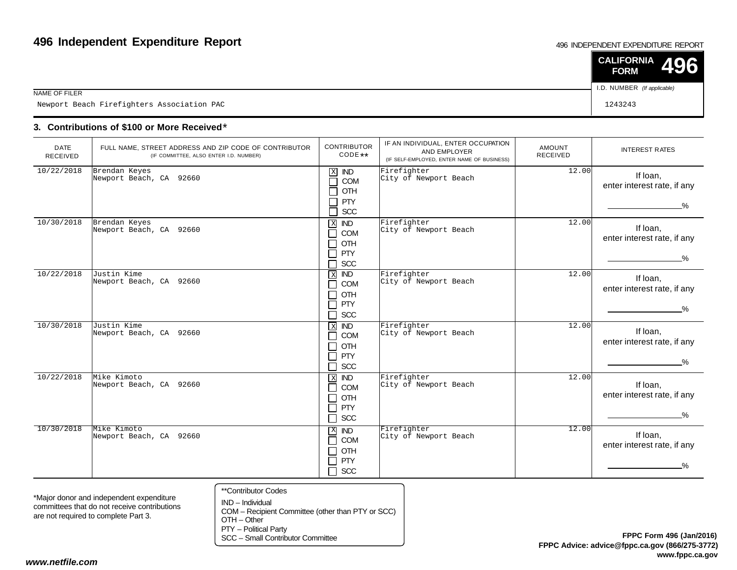#### 496 INDEPENDENT EXPENDITURE REPORT

|                                            | $\vert$ CALIFORNIA 496<br><b>FORM</b> |  |
|--------------------------------------------|---------------------------------------|--|
| NAME OF FILER                              | I.D. NUMBER (If applicable)           |  |
| Newport Beach Firefighters Association PAC | 1243243                               |  |

### **3. Contributions of \$100 or More Received**\*

| <b>DATE</b><br><b>RECEIVED</b> | FULL NAME, STREET ADDRESS AND ZIP CODE OF CONTRIBUTOR<br>(IF COMMITTEE, ALSO ENTER I.D. NUMBER) | <b>CONTRIBUTOR</b><br>$CODE**$                                                                                                              | IF AN INDIVIDUAL, ENTER OCCUPATION<br>AND EMPLOYER<br>(IF SELF-EMPLOYED, ENTER NAME OF BUSINESS) | AMOUNT<br>RECEIVED | <b>INTEREST RATES</b>                                    |
|--------------------------------|-------------------------------------------------------------------------------------------------|---------------------------------------------------------------------------------------------------------------------------------------------|--------------------------------------------------------------------------------------------------|--------------------|----------------------------------------------------------|
| 10/22/2018                     | Brendan Keyes<br>Newport Beach, CA 92660                                                        | $\mathbf X$<br><b>IND</b><br>COM<br>OTH<br><b>PTY</b><br>SCC                                                                                | Firefighter<br>City of Newport Beach                                                             | 12.00              | If loan,<br>enter interest rate, if any<br>$\%$          |
| 10/30/2018                     | Brendan Keyes<br>Newport Beach, CA 92660                                                        | $\mathbf X$<br><b>IND</b><br><b>COM</b><br>$\blacksquare$<br>OTH<br><b>PTY</b><br><b>SCC</b>                                                | Firefighter<br>City of Newport Beach                                                             | 12.00              | If Ioan,<br>enter interest rate, if any<br>$\frac{9}{6}$ |
| 10/22/2018                     | Justin Kime<br>Newport Beach, CA 92660                                                          | $\overline{ND}$<br>$\overline{X}$<br><b>COM</b><br>$\sim$<br>OTH<br>$\blacksquare$<br>PTY<br>$\blacksquare$<br><b>SCC</b><br>$\blacksquare$ | Firefighter<br>City of Newport Beach                                                             | 12.00              | If Ioan,<br>enter interest rate, if any<br>$\frac{9}{6}$ |
| 10/30/2018                     | Justin Kime<br>Newport Beach, CA 92660                                                          | $X$ IND<br>COM<br>$\blacksquare$<br>OTH<br>┓<br>PTY<br>٦<br>SCC<br>┓                                                                        | Firefighter<br>City of Newport Beach                                                             | 12.00              | If loan,<br>enter interest rate, if any<br>_%_           |
| 10/22/2018                     | Mike Kimoto<br>Newport Beach, CA 92660                                                          | $X$ <b>ND</b><br><b>COM</b><br>$\blacksquare$<br>OTH<br>┓<br>PTY<br>$\blacksquare$<br><b>SCC</b><br>┓                                       | Firefighter<br>City of Newport Beach                                                             | 12.00              | If loan,<br>enter interest rate, if any<br>%             |
| 10/30/2018                     | Mike Kimoto<br>Newport Beach, CA 92660                                                          | $X$ <b>ND</b><br>COM<br>$\Box$<br>OTH<br>┓<br>PTY<br>□<br>SCC<br>$\Box$                                                                     | Firefighter<br>City of Newport Beach                                                             | 12.00              | If Ioan,<br>enter interest rate, if any<br>%             |

\*Major donor and independent expenditure committees that do not receive contributionsare not required to complete Part 3.

\*\*Contributor Codes

IND – Individual COM – Recipient Committee (other than PTY or SCC)OTH – Other

PTY – Political Party

SCC – Small Contributor Committee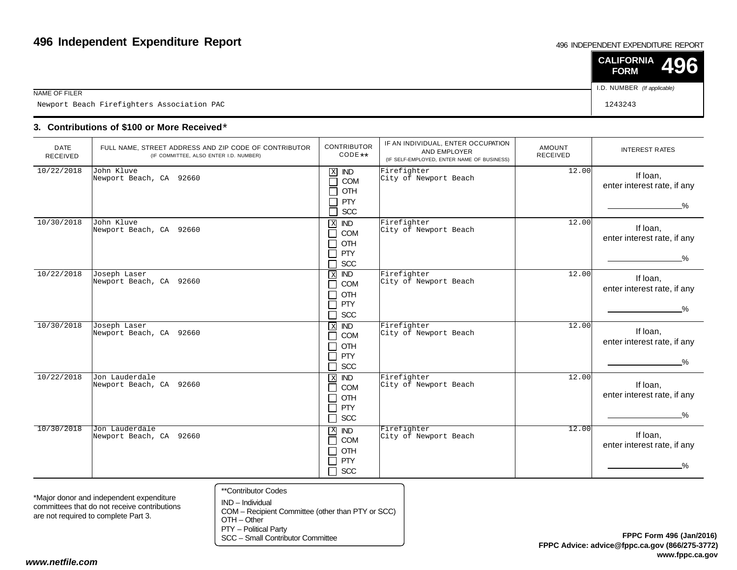#### 496 INDEPENDENT EXPENDITURE REPORT

|                                            | $\vert$ CALIFORNIA 496<br><b>FORM</b> |  |
|--------------------------------------------|---------------------------------------|--|
| NAME OF FILER                              | I.D. NUMBER (If applicable)           |  |
| Newport Beach Firefighters Association PAC | 1243243                               |  |

### **3. Contributions of \$100 or More Received**\*

| <b>DATE</b><br>RECEIVED | FULL NAME, STREET ADDRESS AND ZIP CODE OF CONTRIBUTOR<br>(IF COMMITTEE, ALSO ENTER I.D. NUMBER) | <b>CONTRIBUTOR</b><br>CODE **                                                                                             | IF AN INDIVIDUAL, ENTER OCCUPATION<br>AND EMPLOYER<br>(IF SELF-EMPLOYED, ENTER NAME OF BUSINESS) | AMOUNT<br><b>RECEIVED</b> | <b>INTEREST RATES</b>                                    |
|-------------------------|-------------------------------------------------------------------------------------------------|---------------------------------------------------------------------------------------------------------------------------|--------------------------------------------------------------------------------------------------|---------------------------|----------------------------------------------------------|
| 10/22/2018              | John Kluve<br>Newport Beach, CA 92660                                                           | $\mathbf X$<br><b>IND</b><br>COM<br>$\sim$<br>OTH<br><b>PTY</b><br>SCC                                                    | Firefighter<br>City of Newport Beach                                                             | 12.00                     | If Ioan,<br>enter interest rate, if any<br>$\%$          |
| 10/30/2018              | John Kluve<br>Newport Beach, CA 92660                                                           | X<br><b>IND</b><br>COM<br>$\blacksquare$<br><b>OTH</b><br>$\blacksquare$<br>PTY<br><b>SCC</b>                             | Firefighter<br>City of Newport Beach                                                             | 12.00                     | If loan,<br>enter interest rate, if any<br>$\frac{9}{6}$ |
| 10/22/2018              | Joseph Laser<br>Newport Beach, CA 92660                                                         | $\,$ X<br><b>IND</b><br><b>COM</b><br>$\blacksquare$<br>OTH<br>$\blacksquare$<br>PTY<br>$\blacksquare$<br><b>SCC</b><br>٦ | Firefighter<br>City of Newport Beach                                                             | 12.00                     | If loan,<br>enter interest rate, if any<br>$\frac{0}{2}$ |
| 10/30/2018              | Joseph Laser<br>Newport Beach, CA 92660                                                         | $X$ IND<br>COM<br>$\blacksquare$<br>OTH<br>PTY<br>$\mathcal{L}$<br><b>SCC</b><br>$\blacksquare$                           | Firefighter<br>City of Newport Beach                                                             | 12.00                     | If loan,<br>enter interest rate, if any<br>$\frac{0}{2}$ |
| 10/22/2018              | Jon Lauderdale<br>Newport Beach, CA 92660                                                       | $\,$ X<br><b>IND</b><br><b>COM</b><br>┓<br>OTH<br>┓<br>PTY<br>┓<br><b>SCC</b><br>$\Box$                                   | Firefighter<br>City of Newport Beach                                                             | 12.00                     | If Ioan,<br>enter interest rate, if any<br>$\%$          |
| 10/30/2018              | Jon Lauderdale<br>Newport Beach, CA 92660                                                       | X IND<br>COM<br>n l<br>OTH<br>$\blacksquare$<br>PTY<br>$\sim$<br>┑<br><b>SCC</b>                                          | Firefighter<br>City of Newport Beach                                                             | 12.00                     | If loan,<br>enter interest rate, if any<br>%             |

\*Major donor and independent expenditure committees that do not receive contributionsare not required to complete Part 3.

- \*\*Contributor Codes
- IND Individual COM – Recipient Committee (other than PTY or SCC)OTH – Other

PTY – Political Party

SCC – Small Contributor Committee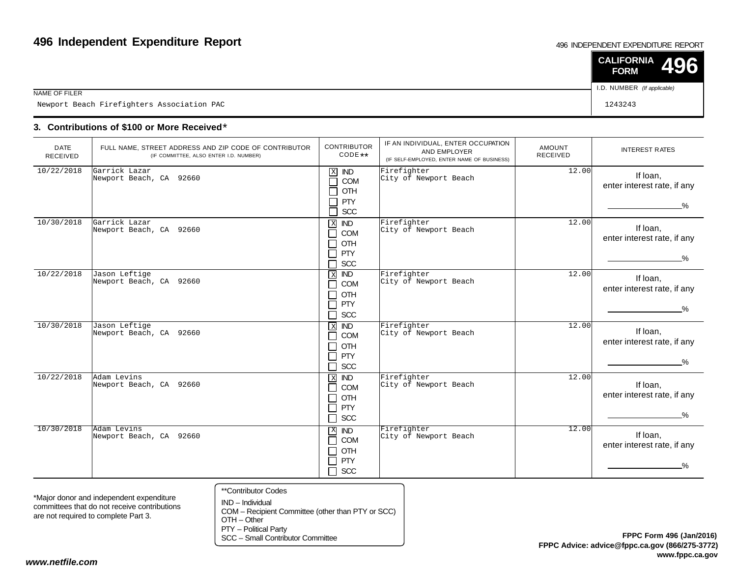#### 496 INDEPENDENT EXPENDITURE REPORT

|                                            | $\vert$ CALIFORNIA 496<br><b>FORM</b> |  |
|--------------------------------------------|---------------------------------------|--|
| NAME OF FILER                              | I.D. NUMBER (If applicable)           |  |
| Newport Beach Firefighters Association PAC | 1243243                               |  |

### **3. Contributions of \$100 or More Received**\*

| <b>DATE</b><br>RECEIVED | FULL NAME, STREET ADDRESS AND ZIP CODE OF CONTRIBUTOR<br>(IF COMMITTEE, ALSO ENTER I.D. NUMBER) | <b>CONTRIBUTOR</b><br>CODE **                                                              | IF AN INDIVIDUAL, ENTER OCCUPATION<br>AND EMPLOYER<br>(IF SELF-EMPLOYED, ENTER NAME OF BUSINESS) | <b>AMOUNT</b><br><b>RECEIVED</b> | <b>INTEREST RATES</b>                                    |
|-------------------------|-------------------------------------------------------------------------------------------------|--------------------------------------------------------------------------------------------|--------------------------------------------------------------------------------------------------|----------------------------------|----------------------------------------------------------|
| 10/22/2018              | Garrick Lazar<br>Newport Beach, CA 92660                                                        | $\mathbf X$<br><b>IND</b><br>┑<br>COM<br>OTH<br><b>PTY</b><br>┑<br>┑<br>$SCC$              | Firefighter<br>City of Newport Beach                                                             | 12.00                            | If loan,<br>enter interest rate, if any<br>$\%$          |
| 10/30/2018              | Garrick Lazar<br>Newport Beach, CA 92660                                                        | X <b>IND</b><br>П<br>COM<br><b>OTH</b><br>П<br>PTY<br>$\Box$<br><b>SCC</b><br>П            | Firefighter<br>City of Newport Beach                                                             | 12.00                            | If loan,<br>enter interest rate, if any<br>$\frac{9}{6}$ |
| 10/22/2018              | Jason Leftige<br>Newport Beach, CA 92660                                                        | <b>IND</b><br>$\overline{X}$<br><b>COM</b><br>П<br>OTH<br>⊓<br>PTY<br>П<br><b>SCC</b><br>П | Firefighter<br>City of Newport Beach                                                             | 12.00                            | If loan,<br>enter interest rate, if any<br>$\frac{9}{6}$ |
| 10/30/2018              | Jason Leftige<br>Newport Beach, CA 92660                                                        | <b>X ND</b><br>COM<br>$\Box$<br><b>OTH</b><br>П<br>□<br>PTY<br><b>SCC</b><br>П             | Firefighter<br>City of Newport Beach                                                             | 12.00                            | If loan,<br>enter interest rate, if any<br>$\%$          |
| 10/22/2018              | Adam Levins<br>Newport Beach, CA 92660                                                          | $\overline{ND}$<br>$\,$ X<br>COM<br>П<br>OTH<br>$\Box$<br>PTY<br>П<br>П<br>SCC             | Firefighter<br>City of Newport Beach                                                             | 12.00                            | If Ioan,<br>enter interest rate, if any<br>$\%$          |
| 10/30/2018              | Adam Levins<br>Newport Beach, CA 92660                                                          | $\overline{ND}$<br>X<br>COM<br>П<br>OTH<br>П<br><b>PTY</b><br>П<br>$\Box$ SCC              | Firefighter<br>City of Newport Beach                                                             | 12.00                            | If loan,<br>enter interest rate, if any<br>%             |

\*Major donor and independent expenditure committees that do not receive contributionsare not required to complete Part 3.

- \*\*Contributor Codes
- IND Individual COM – Recipient Committee (other than PTY or SCC)OTH – Other

PTY – Political Party

SCC – Small Contributor Committee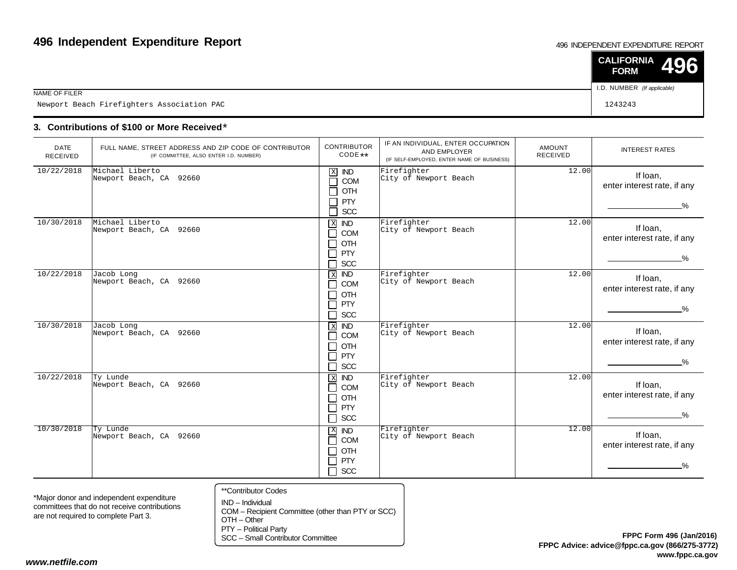#### 496 INDEPENDENT EXPENDITURE REPORT

|                                            | $\vert$ CALIFORNIA 496<br><b>FORM</b> |  |
|--------------------------------------------|---------------------------------------|--|
| NAME OF FILER                              | I.D. NUMBER (If applicable)           |  |
| Newport Beach Firefighters Association PAC | 1243243                               |  |

### **3. Contributions of \$100 or More Received**\*

| <b>DATE</b><br>RECEIVED | FULL NAME, STREET ADDRESS AND ZIP CODE OF CONTRIBUTOR<br>(IF COMMITTEE, ALSO ENTER I.D. NUMBER) | <b>CONTRIBUTOR</b><br>$CODE**$                                                                                                 | IF AN INDIVIDUAL, ENTER OCCUPATION<br>AND EMPLOYER<br>(IF SELF-EMPLOYED, ENTER NAME OF BUSINESS) | AMOUNT<br><b>RECEIVED</b> | <b>INTEREST RATES</b>                                    |
|-------------------------|-------------------------------------------------------------------------------------------------|--------------------------------------------------------------------------------------------------------------------------------|--------------------------------------------------------------------------------------------------|---------------------------|----------------------------------------------------------|
| 10/22/2018              | Michael Liberto<br>Newport Beach, CA 92660                                                      | $\mathbf X$<br><b>IND</b><br>COM<br>$\mathcal{L}$<br>OTH<br><b>PTY</b><br>SCC                                                  | Firefighter<br>City of Newport Beach                                                             | 12.00                     | If loan,<br>enter interest rate, if any<br>$\%$          |
| 10/30/2018              | Michael Liberto<br>Newport Beach, CA 92660                                                      | $\mathbf X$<br><b>IND</b><br>COM<br>$\blacksquare$<br>OTH<br>$\blacksquare$<br>PTY<br>$\mathcal{L}$<br><b>SCC</b>              | Firefighter<br>City of Newport Beach                                                             | 12.00                     | If loan,<br>enter interest rate, if any<br>$\frac{9}{6}$ |
| 10/22/2018              | Jacob Long<br>Newport Beach, CA 92660                                                           | <b>IND</b><br>$\,$ X<br>COM<br>$\blacksquare$<br>OTH<br>$\blacksquare$<br><b>PTY</b><br>$\blacksquare$<br><b>SCC</b><br>$\Box$ | Firefighter<br>City of Newport Beach                                                             | 12.00                     | If Ioan,<br>enter interest rate, if any<br>$\frac{0}{6}$ |
| 10/30/2018              | Jacob Long<br>Newport Beach, CA 92660                                                           | $X$ <b>ND</b><br>COM<br>$\blacksquare$<br>OTH<br>┓<br>PTY<br>┓<br><b>SCC</b><br>┓                                              | Firefighter<br>City of Newport Beach                                                             | 12.00                     | If loan,<br>enter interest rate, if any<br>$\%$          |
| 10/22/2018              | Ty Lunde<br>Newport Beach, CA 92660                                                             | $X$ IND<br><b>COM</b><br>$\blacksquare$<br><b>OTH</b><br>$\blacksquare$<br>PTY<br>$\blacksquare$<br>SCC<br>┓                   | Firefighter<br>City of Newport Beach                                                             | 12.00                     | If Ioan,<br>enter interest rate, if any<br>%             |
| 10/30/2018              | Ty Lunde<br>Newport Beach, CA 92660                                                             | X IND<br>COM<br>П<br>OTH<br>┓<br>PTY<br>┓<br><b>SCC</b><br>┑                                                                   | Firefighter<br>City of Newport Beach                                                             | 12.00                     | If Ioan,<br>enter interest rate, if any<br>%             |

\*Major donor and independent expenditure committees that do not receive contributionsare not required to complete Part 3.

- \*\*Contributor Codes
- IND Individual COM – Recipient Committee (other than PTY or SCC)OTH – Other

PTY – Political Party

SCC – Small Contributor Committee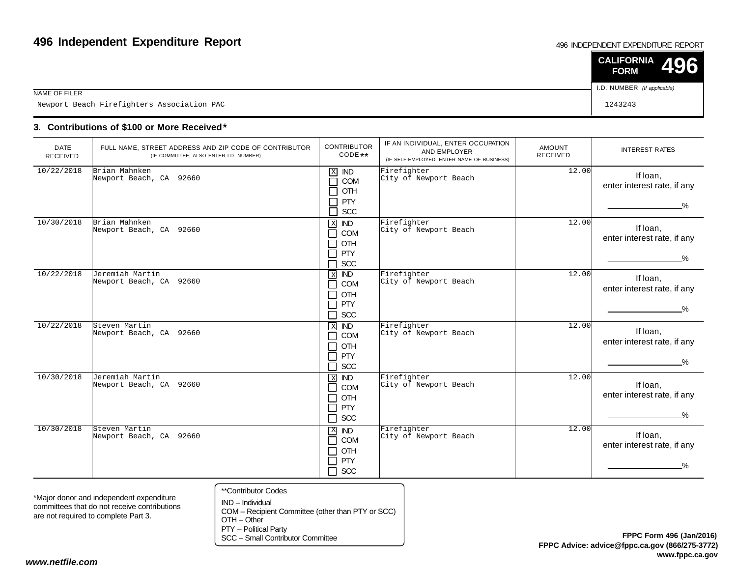#### 496 INDEPENDENT EXPENDITURE REPORT

|                                            | $\vert$ CALIFORNIA 496<br><b>FORM</b> |  |
|--------------------------------------------|---------------------------------------|--|
| NAME OF FILER                              | I.D. NUMBER (If applicable)           |  |
| Newport Beach Firefighters Association PAC | 1243243                               |  |

### **3. Contributions of \$100 or More Received**\*

| <b>DATE</b><br><b>RECEIVED</b> | FULL NAME, STREET ADDRESS AND ZIP CODE OF CONTRIBUTOR<br>(IF COMMITTEE, ALSO ENTER I.D. NUMBER) | <b>CONTRIBUTOR</b><br>CODE **                                                                                            | IF AN INDIVIDUAL, ENTER OCCUPATION<br>AND EMPLOYER<br>(IF SELF-EMPLOYED, ENTER NAME OF BUSINESS) | <b>AMOUNT</b><br><b>RECEIVED</b> | <b>INTEREST RATES</b>                                    |
|--------------------------------|-------------------------------------------------------------------------------------------------|--------------------------------------------------------------------------------------------------------------------------|--------------------------------------------------------------------------------------------------|----------------------------------|----------------------------------------------------------|
| 10/22/2018                     | Brian Mahnken<br>Newport Beach, CA 92660                                                        | $\mathbf X$<br><b>IND</b><br>COM<br>П<br>OTH<br>$\Box$<br><b>PTY</b><br>$\Box$<br>SCC<br>П                               | Firefighter<br>City of Newport Beach                                                             | 12.00                            | If Ioan,<br>enter interest rate, if any<br>$\frac{0}{2}$ |
| 10/30/2018                     | Brian Mahnken<br>Newport Beach, CA 92660                                                        | $\mathbf X$<br><b>IND</b><br>$\Box$<br>COM<br>OTH<br>$\Box$<br>PTY<br>$\Box$<br><b>SCC</b><br>$\Box$                     | Firefighter<br>City of Newport Beach                                                             | 12.00                            | If Ioan,<br>enter interest rate, if any<br>_%_           |
| 10/22/2018                     | Jeremiah Martin<br>Newport Beach, CA 92660                                                      | $\,$ X<br><b>IND</b><br>COM<br>$\mathcal{L}$<br>OTH<br>$\overline{\phantom{a}}$<br><b>PTY</b><br>$\Box$<br>$\Box$<br>SCC | Firefighter<br>City of Newport Beach                                                             | 12.00                            | If Ioan,<br>enter interest rate, if any<br>$\frac{9}{6}$ |
| 10/22/2018                     | Steven Martin<br>Newport Beach, CA 92660                                                        | $X$ IND<br>COM<br>$\mathsf{L}$<br>OTH<br>$\Box$<br>PTY<br>$\Box$<br><b>SCC</b><br>$\Box$                                 | Firefighter<br>City of Newport Beach                                                             | 12.00                            | If Ioan,<br>enter interest rate, if any<br>$\%$          |
| 10/30/2018                     | Jeremiah Martin<br>Newport Beach, CA 92660                                                      | $\overline{ND}$<br>$\mathbf X$<br>$\Box$<br>COM<br>OTH<br>$\mathbf{L}$<br>$\Box$<br>PTY<br>$\Box$<br><b>SCC</b>          | Firefighter<br>City of Newport Beach                                                             | 12.00                            | If Ioan,<br>enter interest rate, if any<br>$\%$          |
| 10/30/2018                     | Steven Martin<br>Newport Beach, CA 92660                                                        | $\mathbf{X}$<br><b>IND</b><br>COM<br>П<br>OTH<br>$\Box$<br><b>PTY</b><br>$\Box$<br>SCC<br>$\Box$                         | Firefighter<br>City of Newport Beach                                                             | 12.00                            | If Ioan,<br>enter interest rate, if any<br>−%            |

\*Major donor and independent expenditure committees that do not receive contributionsare not required to complete Part 3.

- \*\*Contributor Codes
- IND Individual COM – Recipient Committee (other than PTY or SCC)OTH – Other

PTY – Political Party

SCC – Small Contributor Committee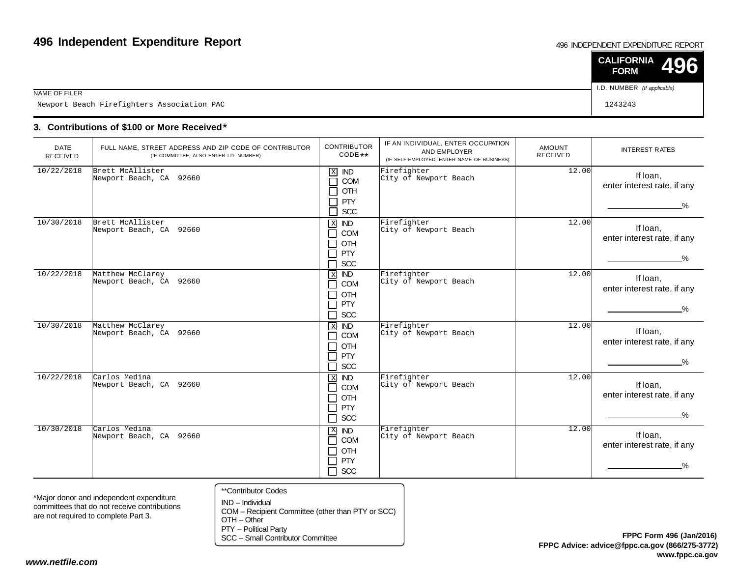#### 496 INDEPENDENT EXPENDITURE REPORT

|                                            | $\vert$ CALIFORNIA 496<br><b>FORM</b> |  |
|--------------------------------------------|---------------------------------------|--|
| NAME OF FILER                              | I.D. NUMBER (If applicable)           |  |
| Newport Beach Firefighters Association PAC | 1243243                               |  |

### **3. Contributions of \$100 or More Received**\*

| <b>DATE</b><br>RECEIVED | FULL NAME, STREET ADDRESS AND ZIP CODE OF CONTRIBUTOR<br>(IF COMMITTEE, ALSO ENTER I.D. NUMBER) | <b>CONTRIBUTOR</b><br>$CODE**$                                                                          | IF AN INDIVIDUAL, ENTER OCCUPATION<br>AND EMPLOYER<br>(IF SELF-EMPLOYED, ENTER NAME OF BUSINESS) | <b>AMOUNT</b><br><b>RECEIVED</b> | <b>INTEREST RATES</b>                                    |
|-------------------------|-------------------------------------------------------------------------------------------------|---------------------------------------------------------------------------------------------------------|--------------------------------------------------------------------------------------------------|----------------------------------|----------------------------------------------------------|
| 10/22/2018              | Brett McAllister<br>Newport Beach, CA 92660                                                     | $\mathbf X$<br><b>IND</b><br>COM<br>┓<br>OTH<br>ᄀ<br><b>PTY</b><br>ᄀ<br>SCC<br>Π                        | Firefighter<br>City of Newport Beach                                                             | 12.00                            | If loan,<br>enter interest rate, if any<br>$\%$          |
| 10/30/2018              | Brett McAllister<br>Newport Beach, CA 92660                                                     | $X$ <b>ND</b><br>П<br><b>COM</b><br>OTH<br>П<br>□<br><b>PTY</b><br><b>SCC</b><br>П                      | Firefighter<br>City of Newport Beach                                                             | 12.00                            | If loan,<br>enter interest rate, if any<br>$\frac{9}{6}$ |
| 10/22/2018              | Matthew McClarey<br>Newport Beach, CA 92660                                                     | $\,$ X<br>$\overline{ND}$<br><b>COM</b><br>$\mathsf{L}$<br>OTH<br>$\Box$<br>PTY<br>П<br><b>SCC</b><br>П | Firefighter<br>City of Newport Beach                                                             | 12.00                            | If Ioan,<br>enter interest rate, if any<br>$\frac{9}{6}$ |
| 10/30/2018              | Matthew McClarey<br>Newport Beach, CA 92660                                                     | $X$ IND<br>COM<br>П<br>OTH<br>П<br><b>PTY</b><br>П<br><b>SCC</b><br>П                                   | Firefighter<br>City of Newport Beach                                                             | 12.00                            | If Ioan,<br>enter interest rate, if any<br>$\%$          |
| 10/22/2018              | Carlos Medina<br>Newport Beach, CA 92660                                                        | $\mathbf X$<br>$\overline{ND}$<br><b>COM</b><br>П<br>OTH<br>⊓<br>PTY<br>П<br>SCC<br>$\Box$              | Firefighter<br>City of Newport Beach                                                             | 12.00                            | If Ioan,<br>enter interest rate, if any<br>$\frac{0}{6}$ |
| 10/30/2018              | Carlos Medina<br>Newport Beach, CA 92660                                                        | $\mathbf X$<br>$\overline{ND}$<br>COM<br>П<br>OTH<br>П<br><b>PTY</b><br>П<br>$\Box$ scc                 | Firefighter<br>City of Newport Beach                                                             | 12.00                            | If Ioan,<br>enter interest rate, if any<br>$\frac{0}{2}$ |

\*Major donor and independent expenditure committees that do not receive contributionsare not required to complete Part 3.

- \*\*Contributor Codes
- IND Individual COM – Recipient Committee (other than PTY or SCC)OTH – Other

PTY – Political Party

SCC – Small Contributor Committee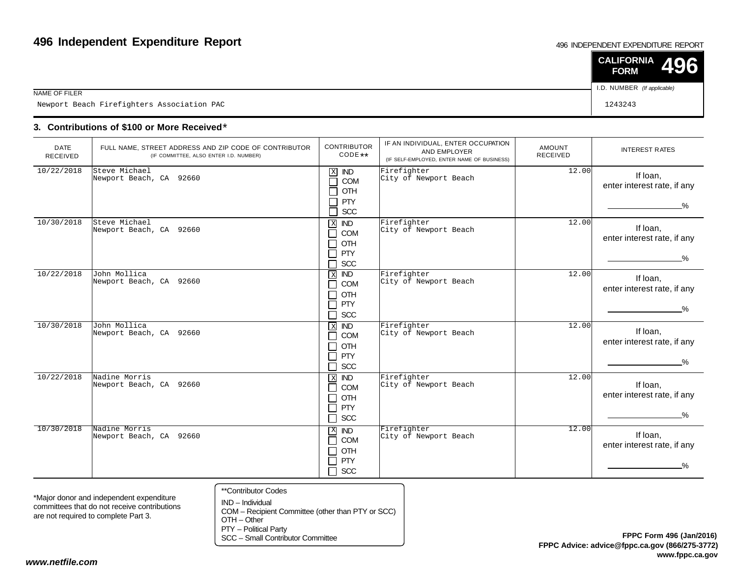#### 496 INDEPENDENT EXPENDITURE REPORT

|                                            | $\vert$ CALIFORNIA 496<br><b>FORM</b> |  |
|--------------------------------------------|---------------------------------------|--|
| NAME OF FILER                              | I.D. NUMBER (If applicable)           |  |
| Newport Beach Firefighters Association PAC | 1243243                               |  |

### **3. Contributions of \$100 or More Received**\*

| <b>DATE</b><br>RECEIVED | FULL NAME, STREET ADDRESS AND ZIP CODE OF CONTRIBUTOR<br>(IF COMMITTEE, ALSO ENTER I.D. NUMBER) | <b>CONTRIBUTOR</b><br>$CODE**$                                                                           | IF AN INDIVIDUAL, ENTER OCCUPATION<br>AND EMPLOYER<br>(IF SELF-EMPLOYED, ENTER NAME OF BUSINESS) | <b>AMOUNT</b><br><b>RECEIVED</b> | <b>INTEREST RATES</b>                                    |
|-------------------------|-------------------------------------------------------------------------------------------------|----------------------------------------------------------------------------------------------------------|--------------------------------------------------------------------------------------------------|----------------------------------|----------------------------------------------------------|
| 10/22/2018              | Steve Michael<br>Newport Beach, CA 92660                                                        | $\mathbf X$<br><b>IND</b><br>COM<br>$\mathcal{L}$<br>OTH<br>$\Box$<br><b>PTY</b><br>Π<br>SCC             | Firefighter<br>City of Newport Beach                                                             | 12.00                            | If Ioan,<br>enter interest rate, if any<br>$\%$          |
| 10/30/2018              | Steve Michael<br>Newport Beach, CA 92660                                                        | $\mathbf X$<br><b>IND</b><br>COM<br>П<br><b>OTH</b><br>П<br><b>PTY</b><br>П<br><b>SCC</b><br>□           | Firefighter<br>City of Newport Beach                                                             | 12.00                            | If Ioan,<br>enter interest rate, if any<br>$\frac{9}{6}$ |
| 10/22/2018              | John Mollica<br>Newport Beach, CA 92660                                                         | $\overline{ND}$<br>$\,$ X<br><b>COM</b><br>$\Box$<br><b>OTH</b><br>П<br>PTY<br>$\Box$<br><b>SCC</b><br>П | Firefighter<br>City of Newport Beach                                                             | 12.00                            | If Ioan,<br>enter interest rate, if any<br>$\frac{9}{6}$ |
| 10/30/2018              | John Mollica<br>Newport Beach, CA 92660                                                         | $X$ IND<br><b>COM</b><br>П<br>OTH<br>П<br><b>PTY</b><br>П<br>П<br><b>SCC</b>                             | Firefighter<br>City of Newport Beach                                                             | 12.00                            | If Ioan,<br>enter interest rate, if any<br>$\frac{9}{6}$ |
| 10/22/2018              | Nadine Morris<br>Newport Beach, CA 92660                                                        | $\,$ X<br><b>IND</b><br><b>COM</b><br>П<br>OTH<br>П<br><b>PTY</b><br>П<br>$\Box$<br>SCC                  | Firefighter<br>City of Newport Beach                                                             | 12.00                            | If Ioan,<br>enter interest rate, if any<br>$\%$          |
| 10/30/2018              | Nadine Morris<br>Newport Beach, CA 92660                                                        | $X$ ND<br>COM<br>П<br>OTH<br>$\blacksquare$<br><b>PTY</b><br>П<br>$\Box$ scc                             | Firefighter<br>City of Newport Beach                                                             | 12.00                            | If loan,<br>enter interest rate, if any<br>$\%$          |

\*Major donor and independent expenditure committees that do not receive contributionsare not required to complete Part 3.

- \*\*Contributor Codes
- IND Individual COM – Recipient Committee (other than PTY or SCC)OTH – Other

PTY – Political Party

SCC – Small Contributor Committee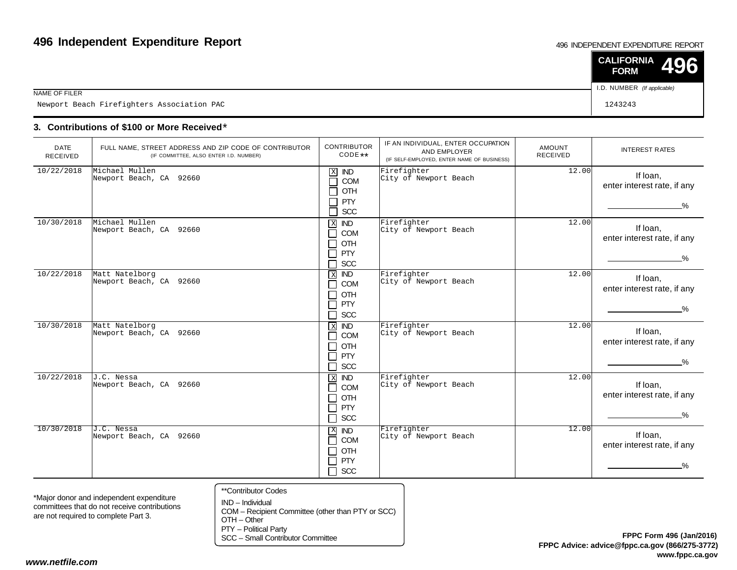#### 496 INDEPENDENT EXPENDITURE REPORT

|                                            | $\vert$ CALIFORNIA 496<br><b>FORM</b> |  |
|--------------------------------------------|---------------------------------------|--|
| NAME OF FILER                              | I.D. NUMBER (If applicable)           |  |
| Newport Beach Firefighters Association PAC | 1243243                               |  |

### **3. Contributions of \$100 or More Received**\*

| <b>DATE</b><br><b>RECEIVED</b> | FULL NAME, STREET ADDRESS AND ZIP CODE OF CONTRIBUTOR<br>(IF COMMITTEE, ALSO ENTER I.D. NUMBER) | <b>CONTRIBUTOR</b><br>CODE **                                                                                             | IF AN INDIVIDUAL, ENTER OCCUPATION<br>AND EMPLOYER<br>(IF SELF-EMPLOYED, ENTER NAME OF BUSINESS) | <b>AMOUNT</b><br><b>RECEIVED</b> | <b>INTEREST RATES</b>                                    |
|--------------------------------|-------------------------------------------------------------------------------------------------|---------------------------------------------------------------------------------------------------------------------------|--------------------------------------------------------------------------------------------------|----------------------------------|----------------------------------------------------------|
| 10/22/2018                     | Michael Mullen<br>Newport Beach, CA 92660                                                       | $\mathbf X$<br><b>IND</b><br>COM<br>$\sim$<br>OTH<br><b>PTY</b><br>SCC<br>┑                                               | Firefighter<br>City of Newport Beach                                                             | 12.00                            | If loan,<br>enter interest rate, if any<br>$\%$          |
| 10/30/2018                     | Michael Mullen<br>Newport Beach, CA 92660                                                       | $X$ IND<br>COM<br>$\blacksquare$<br><b>OTH</b><br>$\blacksquare$<br>PTY<br>$\mathcal{L}$<br><b>SCC</b><br>$\blacksquare$  | Firefighter<br>City of Newport Beach                                                             | 12.00                            | If loan,<br>enter interest rate, if any<br>$\frac{9}{6}$ |
| 10/22/2018                     | Matt Natelborg<br>Newport Beach, CA 92660                                                       | <b>IND</b><br>$\,$ X<br><b>COM</b><br>$\blacksquare$<br>OTH<br>$\blacksquare$<br>PTY<br>$\blacksquare$<br><b>SCC</b><br>┐ | Firefighter<br>City of Newport Beach                                                             | 12.00                            | If loan,<br>enter interest rate, if any<br>$\frac{9}{6}$ |
| 10/30/2018                     | Matt Natelborg<br>Newport Beach, CA 92660                                                       | $X$ <b>ND</b><br>COM<br>$\blacksquare$<br><b>OTH</b><br>$\blacksquare$<br>PTY<br>┓<br><b>SCC</b><br>┐                     | Firefighter<br>City of Newport Beach                                                             | 12.00                            | If loan,<br>enter interest rate, if any<br>$\%$          |
| 10/22/2018                     | J.C. Nessa<br>Newport Beach, CA 92660                                                           | $\,$ X<br><b>IND</b><br>COM<br>$\blacksquare$<br>OTH<br>$\blacksquare$<br>PTY<br>$\blacksquare$<br>SCC<br>┐               | Firefighter<br>City of Newport Beach                                                             | 12.00                            | If loan,<br>enter interest rate, if any<br>$\%$          |
| 10/30/2018                     | J.C. Nessa<br>Newport Beach, CA 92660                                                           | $\mathbf{X}$<br><b>IND</b><br><b>COM</b><br>٦<br>OTH<br>$\perp$<br>PTY<br>┓<br>$\Box$ SCC                                 | Firefighter<br>City of Newport Beach                                                             | 12.00                            | If loan,<br>enter interest rate, if any<br>%             |

\*Major donor and independent expenditure committees that do not receive contributionsare not required to complete Part 3.

- \*\*Contributor Codes
- IND Individual COM – Recipient Committee (other than PTY or SCC)OTH – Other

PTY – Political Party

SCC – Small Contributor Committee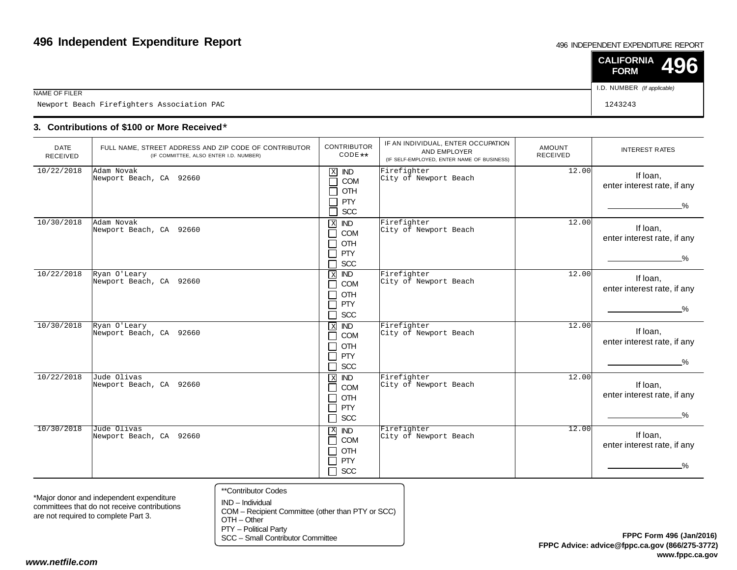#### 496 INDEPENDENT EXPENDITURE REPORT

|                                            | $\vert$ CALIFORNIA 496<br><b>FORM</b> |  |
|--------------------------------------------|---------------------------------------|--|
| NAME OF FILER                              | I.D. NUMBER (If applicable)           |  |
| Newport Beach Firefighters Association PAC | 1243243                               |  |

### **3. Contributions of \$100 or More Received**\*

| <b>DATE</b><br>RECEIVED | FULL NAME, STREET ADDRESS AND ZIP CODE OF CONTRIBUTOR<br>(IF COMMITTEE, ALSO ENTER I.D. NUMBER) | <b>CONTRIBUTOR</b><br>CODE **                                                                                             | IF AN INDIVIDUAL, ENTER OCCUPATION<br>AND EMPLOYER<br>(IF SELF-EMPLOYED, ENTER NAME OF BUSINESS) | AMOUNT<br><b>RECEIVED</b> | <b>INTEREST RATES</b>                                    |
|-------------------------|-------------------------------------------------------------------------------------------------|---------------------------------------------------------------------------------------------------------------------------|--------------------------------------------------------------------------------------------------|---------------------------|----------------------------------------------------------|
| 10/22/2018              | Adam Novak<br>Newport Beach, CA 92660                                                           | $\mathbf X$<br><b>IND</b><br>COM<br>$\sim$<br>OTH<br><b>PTY</b><br>SCC<br>┑                                               | Firefighter<br>City of Newport Beach                                                             | 12.00                     | If loan,<br>enter interest rate, if any<br>$\%$          |
| 10/30/2018              | Adam Novak<br>Newport Beach, CA 92660                                                           | $X$ IND<br>COM<br>$\blacksquare$<br>OTH<br>$\blacksquare$<br>PTY<br>$\mathcal{L}$<br><b>SCC</b><br>$\blacksquare$         | Firefighter<br>City of Newport Beach                                                             | 12.00                     | If loan,<br>enter interest rate, if any<br>$\frac{9}{6}$ |
| 10/22/2018              | Ryan O'Leary<br>Newport Beach, CA 92660                                                         | <b>IND</b><br>$\,$ X<br><b>COM</b><br>$\blacksquare$<br>OTH<br>$\blacksquare$<br>PTY<br>$\blacksquare$<br><b>SCC</b><br>┐ | Firefighter<br>City of Newport Beach                                                             | 12.00                     | If loan,<br>enter interest rate, if any<br>$\frac{9}{6}$ |
| 10/30/2018              | Ryan O'Leary<br>Newport Beach, CA 92660                                                         | $X$ IND<br><b>COM</b><br>$\blacksquare$<br><b>OTH</b><br>$\blacksquare$<br>PTY<br>┓<br><b>SCC</b><br>┐                    | Firefighter<br>City of Newport Beach                                                             | 12.00                     | If loan,<br>enter interest rate, if any<br>$\%$          |
| 10/22/2018              | Jude Olivas<br>Newport Beach, CA 92660                                                          | $\,$ X<br><b>IND</b><br>COM<br>$\blacksquare$<br>OTH<br>$\blacksquare$<br>PTY<br>$\blacksquare$<br>SCC<br>┐               | Firefighter<br>City of Newport Beach                                                             | 12.00                     | If Ioan,<br>enter interest rate, if any<br>$\frac{0}{2}$ |
| 10/30/2018              | Jude Olivas<br>Newport Beach, CA 92660                                                          | $\mathbf{X}$<br><b>IND</b><br>COM<br>٦<br>OTH<br>$\blacksquare$<br>PTY<br>┓<br>$\Box$ SCC                                 | Firefighter<br>City of Newport Beach                                                             | 12.00                     | If loan,<br>enter interest rate, if any<br>%             |

\*Major donor and independent expenditure committees that do not receive contributionsare not required to complete Part 3.

- \*\*Contributor Codes
- IND Individual COM – Recipient Committee (other than PTY or SCC)OTH – Other

PTY – Political Party

SCC – Small Contributor Committee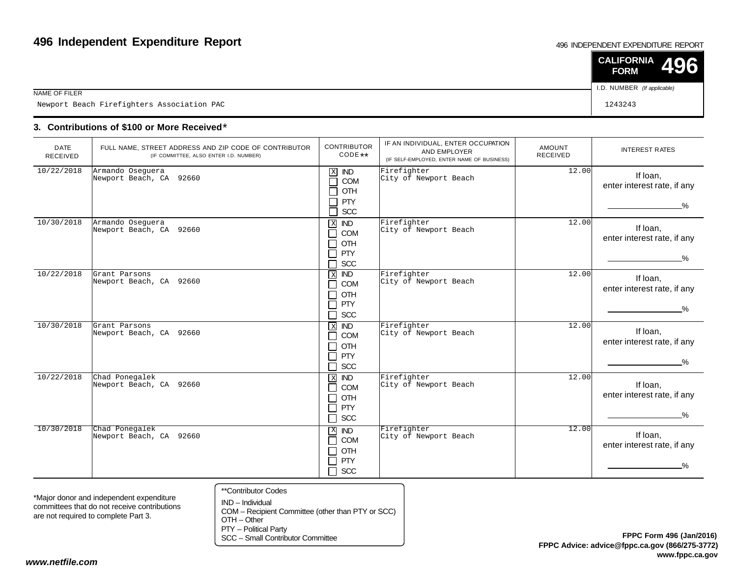#### 496 INDEPENDENT EXPENDITURE REPORT

|                                            | $\vert$ CALIFORNIA 496<br><b>FORM</b> |  |
|--------------------------------------------|---------------------------------------|--|
| NAME OF FILER                              | I.D. NUMBER (If applicable)           |  |
| Newport Beach Firefighters Association PAC | 1243243                               |  |

### **3. Contributions of \$100 or More Received**\*

| <b>DATE</b><br><b>RECEIVED</b> | FULL NAME, STREET ADDRESS AND ZIP CODE OF CONTRIBUTOR<br>(IF COMMITTEE, ALSO ENTER I.D. NUMBER) | <b>CONTRIBUTOR</b><br>CODE **                                                                                            | IF AN INDIVIDUAL, ENTER OCCUPATION<br>AND EMPLOYER<br>(IF SELF-EMPLOYED, ENTER NAME OF BUSINESS) | <b>AMOUNT</b><br><b>RECEIVED</b> | <b>INTEREST RATES</b>                                    |
|--------------------------------|-------------------------------------------------------------------------------------------------|--------------------------------------------------------------------------------------------------------------------------|--------------------------------------------------------------------------------------------------|----------------------------------|----------------------------------------------------------|
| 10/22/2018                     | Armando Oseguera<br>Newport Beach, CA 92660                                                     | $\mathbf X$<br><b>IND</b><br>COM<br>П<br>OTH<br>П<br><b>PTY</b><br>$\Box$<br>SCC<br>П                                    | Firefighter<br>City of Newport Beach                                                             | 12.00                            | If Ioan,<br>enter interest rate, if any<br>$\frac{0}{2}$ |
| 10/30/2018                     | Armando Osequera<br>Newport Beach, CA 92660                                                     | $\mathbf X$<br><b>IND</b><br>$\Box$<br>COM<br>OTH<br>$\Box$<br>PTY<br>$\Box$<br><b>SCC</b><br>$\Box$                     | Firefighter<br>City of Newport Beach                                                             | 12.00                            | If Ioan,<br>enter interest rate, if any<br>_%_           |
| 10/22/2018                     | Grant Parsons<br>Newport Beach, CA 92660                                                        | $\,$ X<br><b>IND</b><br>COM<br>$\mathcal{L}$<br>OTH<br>$\overline{\phantom{a}}$<br><b>PTY</b><br>$\Box$<br>$\Box$<br>SCC | Firefighter<br>City of Newport Beach                                                             | 12.00                            | If Ioan,<br>enter interest rate, if any<br>$\frac{9}{6}$ |
| 10/30/2018                     | Grant Parsons<br>Newport Beach, CA 92660                                                        | $X$ IND<br>COM<br>$\mathsf{L}$<br>$\Box$<br>OTH<br>PTY<br>$\Box$<br><b>SCC</b><br>$\Box$                                 | Firefighter<br>City of Newport Beach                                                             | 12.00                            | If Ioan,<br>enter interest rate, if any<br>$\%$          |
| 10/22/2018                     | Chad Ponegalek<br>Newport Beach, CA 92660                                                       | $\overline{ND}$<br>$\mathbf X$<br>$\Box$<br>COM<br>OTH<br>$\sim$<br>$\Box$<br>PTY<br>$\Box$<br><b>SCC</b>                | Firefighter<br>City of Newport Beach                                                             | 12.00                            | If Ioan,<br>enter interest rate, if any<br>$\%$          |
| 10/30/2018                     | Chad Ponegalek<br>Newport Beach, CA 92660                                                       | $\mathbf{X}$<br><b>IND</b><br>COM<br>П<br>OTH<br>$\Box$<br><b>PTY</b><br>$\Box$<br>SCC<br>$\Box$                         | Firefighter<br>City of Newport Beach                                                             | 12.00                            | If Ioan,<br>enter interest rate, if any<br>%.            |

\*Major donor and independent expenditure committees that do not receive contributionsare not required to complete Part 3.

- \*\*Contributor Codes
- IND Individual COM – Recipient Committee (other than PTY or SCC)OTH – Other

PTY – Political Party

SCC – Small Contributor Committee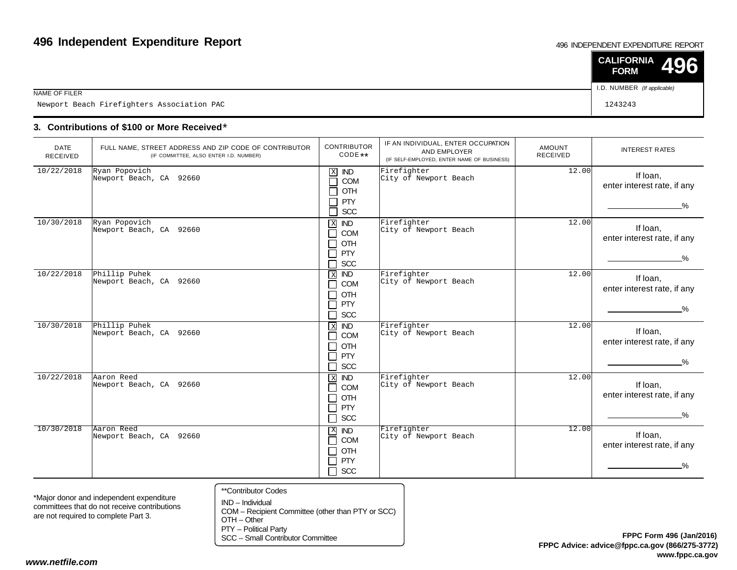#### 496 INDEPENDENT EXPENDITURE REPORT

|                                            | $\vert$ CALIFORNIA 496<br><b>FORM</b> |  |
|--------------------------------------------|---------------------------------------|--|
| NAME OF FILER                              | I.D. NUMBER (If applicable)           |  |
| Newport Beach Firefighters Association PAC | 1243243                               |  |

### **3. Contributions of \$100 or More Received**\*

| <b>DATE</b><br>RECEIVED | FULL NAME, STREET ADDRESS AND ZIP CODE OF CONTRIBUTOR<br>(IF COMMITTEE, ALSO ENTER I.D. NUMBER) | <b>CONTRIBUTOR</b><br>$CODE**$                                                                                                         | IF AN INDIVIDUAL, ENTER OCCUPATION<br>AND EMPLOYER<br>(IF SELF-EMPLOYED, ENTER NAME OF BUSINESS) | AMOUNT<br>RECEIVED | <b>INTEREST RATES</b>                                    |
|-------------------------|-------------------------------------------------------------------------------------------------|----------------------------------------------------------------------------------------------------------------------------------------|--------------------------------------------------------------------------------------------------|--------------------|----------------------------------------------------------|
| 10/22/2018              | Ryan Popovich<br>Newport Beach, CA 92660                                                        | $\mathbf X$<br><b>IND</b><br>COM<br>OTH<br><b>PTY</b><br>SCC                                                                           | Firefighter<br>City of Newport Beach                                                             | 12.00              | If loan,<br>enter interest rate, if any<br>$\%$          |
| 10/30/2018              | Ryan Popovich<br>Newport Beach, CA 92660                                                        | $\mathbf X$<br><b>IND</b><br><b>COM</b><br>$\blacksquare$<br>OTH<br><b>PTY</b><br>$\sim$<br><b>SCC</b>                                 | Firefighter<br>City of Newport Beach                                                             | 12.00              | If Ioan,<br>enter interest rate, if any<br>$\frac{9}{6}$ |
| 10/22/2018              | Phillip Puhek<br>Newport Beach, CA 92660                                                        | $\overline{ND}$<br>$\overline{X}$<br><b>COM</b><br>$\sim$<br>OTH<br>$\blacksquare$<br><b>PTY</b><br>$\blacksquare$<br><b>SCC</b><br>E. | Firefighter<br>City of Newport Beach                                                             | 12.00              | If Ioan,<br>enter interest rate, if any<br>$\frac{9}{6}$ |
| 10/30/2018              | Phillip Puhek<br>Newport Beach, CA 92660                                                        | $X$ IND<br>COM<br>$\blacksquare$<br>OTH<br>┓<br>PTY<br>٦<br>SCC<br>┓                                                                   | Firefighter<br>City of Newport Beach                                                             | 12.00              | If loan,<br>enter interest rate, if any<br>_%_           |
| 10/22/2018              | Aaron Reed<br>Newport Beach, CA 92660                                                           | $X$ <b>ND</b><br><b>COM</b><br>$\blacksquare$<br>OTH<br>┓<br><b>PTY</b><br>$\blacksquare$<br><b>SCC</b><br>┓                           | Firefighter<br>City of Newport Beach                                                             | 12.00              | If loan,<br>enter interest rate, if any<br>%             |
| 10/30/2018              | Aaron Reed<br>Newport Beach, CA 92660                                                           | $X$ <b>ND</b><br>COM<br>$\Box$<br>OTH<br>┑<br><b>PTY</b><br>□<br>SCC<br>$\Box$                                                         | Firefighter<br>City of Newport Beach                                                             | 12.00              | If Ioan,<br>enter interest rate, if any<br>%             |

\*Major donor and independent expenditure committees that do not receive contributionsare not required to complete Part 3.

- \*\*Contributor Codes
- IND Individual COM – Recipient Committee (other than PTY or SCC)OTH – Other

PTY – Political Party

SCC – Small Contributor Committee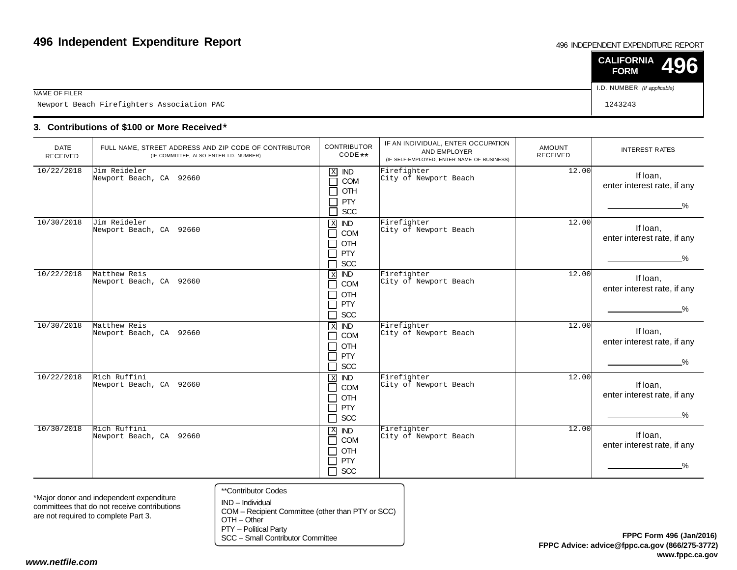#### 496 INDEPENDENT EXPENDITURE REPORT

|                                            | $\vert$ CALIFORNIA 496<br><b>FORM</b> |  |
|--------------------------------------------|---------------------------------------|--|
| NAME OF FILER                              | I.D. NUMBER (If applicable)           |  |
| Newport Beach Firefighters Association PAC | 1243243                               |  |

### **3. Contributions of \$100 or More Received**\*

| <b>DATE</b><br><b>RECEIVED</b> | FULL NAME, STREET ADDRESS AND ZIP CODE OF CONTRIBUTOR<br>(IF COMMITTEE, ALSO ENTER I.D. NUMBER) | <b>CONTRIBUTOR</b><br>CODE **                                                                                                    | IF AN INDIVIDUAL, ENTER OCCUPATION<br>AND EMPLOYER<br>(IF SELF-EMPLOYED, ENTER NAME OF BUSINESS) | <b>AMOUNT</b><br><b>RECEIVED</b> | <b>INTEREST RATES</b>                                    |
|--------------------------------|-------------------------------------------------------------------------------------------------|----------------------------------------------------------------------------------------------------------------------------------|--------------------------------------------------------------------------------------------------|----------------------------------|----------------------------------------------------------|
| 10/22/2018                     | Jim Reideler<br>Newport Beach, CA 92660                                                         | $\mathbf X$<br><b>IND</b><br>COM<br>$\mathcal{L}$<br>OTH<br>$\mathcal{L}$<br><b>PTY</b><br>SCC<br>$\mathcal{L}_{\mathcal{A}}$    | Firefighter<br>City of Newport Beach                                                             | 12.00                            | If Ioan,<br>enter interest rate, if any<br>$\frac{9}{6}$ |
| 10/30/2018                     | Jim Reideler<br>Newport Beach, CA 92660                                                         | $\mathbf X$<br><b>IND</b><br>COM<br>┓<br>OTH<br>$\sim$<br><b>PTY</b><br>$\sim$<br>SCC                                            | Firefighter<br>City of Newport Beach                                                             | 12.00                            | If Ioan,<br>enter interest rate, if any<br>$\frac{9}{6}$ |
| 10/22/2018                     | Matthew Reis<br>Newport Beach, CA 92660                                                         | <b>IND</b><br>$\,$ X<br>COM<br>$\sim$<br><b>OTH</b><br>$\sim$<br><b>PTY</b><br>$\blacksquare$<br>SCC<br>$\overline{\phantom{a}}$ | Firefighter<br>City of Newport Beach                                                             | 12.00                            | If Ioan,<br>enter interest rate, if any<br>$\frac{9}{6}$ |
| 10/30/2018                     | Matthew Reis<br>Newport Beach, CA 92660                                                         | $\overline{ND}$<br>$\overline{X}$<br>COM<br>$\blacksquare$<br>OTH<br>$\Box$<br><b>PTY</b><br>$\sim$<br>SCC<br>┓                  | Firefighter<br>City of Newport Beach                                                             | 12.00                            | If Ioan,<br>enter interest rate, if any<br>$\frac{9}{6}$ |
| 10/22/2018                     | Rich Ruffini<br>Newport Beach, CA 92660                                                         | $\overline{ND}$<br>$\mathbf X$<br>COM<br>$\blacksquare$<br>OTH<br>$\sim$<br><b>PTY</b><br>┑<br>SCC<br>$\Box$                     | Firefighter<br>City of Newport Beach                                                             | 12.00                            | If Ioan,<br>enter interest rate, if any<br>$\%$          |
| 10/30/2018                     | Rich Ruffini<br>Newport Beach, CA 92660                                                         | $\boldsymbol{\mathrm{X}}$<br><b>IND</b><br>COM<br>$\Box$<br>OTH<br>┓<br><b>PTY</b><br>$\Box$<br>SCC<br>$\Box$                    | Firefighter<br>City of Newport Beach                                                             | 12.00                            | If Ioan,<br>enter interest rate, if any<br>_%            |

\*Major donor and independent expenditure committees that do not receive contributionsare not required to complete Part 3.

- \*\*Contributor Codes
- IND Individual COM – Recipient Committee (other than PTY or SCC)OTH – Other

PTY – Political Party

SCC – Small Contributor Committee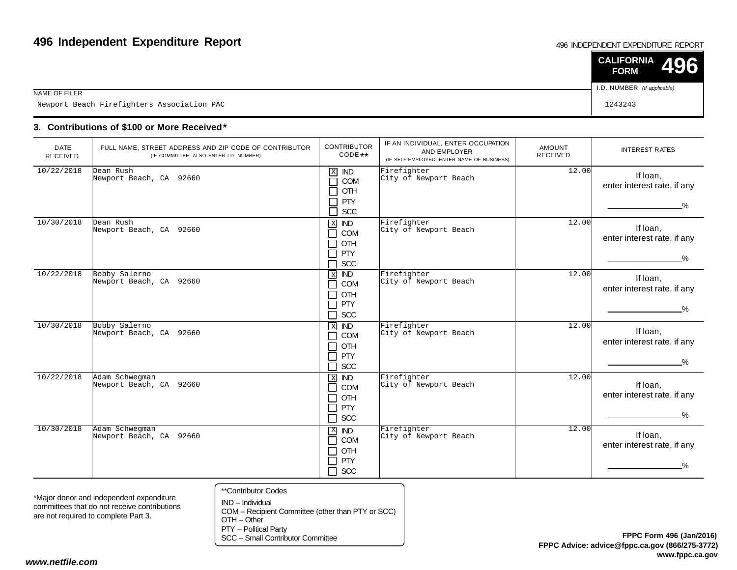#### 496 INDEPENDENT EXPENDITURE REPORT

|                                            | $\vert$ CALIFORNIA 496<br><b>FORM</b> |  |
|--------------------------------------------|---------------------------------------|--|
| NAME OF FILER                              | I.D. NUMBER (If applicable)           |  |
| Newport Beach Firefighters Association PAC | 1243243                               |  |

### **3. Contributions of \$100 or More Received**\*

| <b>DATE</b><br>RECEIVED | FULL NAME, STREET ADDRESS AND ZIP CODE OF CONTRIBUTOR<br>(IF COMMITTEE, ALSO ENTER I.D. NUMBER) | <b>CONTRIBUTOR</b><br>CODE **                                                                                                        | IF AN INDIVIDUAL, ENTER OCCUPATION<br>AND EMPLOYER<br>(IF SELF-EMPLOYED, ENTER NAME OF BUSINESS) | AMOUNT<br><b>RECEIVED</b> | <b>INTEREST RATES</b>                                    |
|-------------------------|-------------------------------------------------------------------------------------------------|--------------------------------------------------------------------------------------------------------------------------------------|--------------------------------------------------------------------------------------------------|---------------------------|----------------------------------------------------------|
| 10/22/2018              | Dean Rush<br>Newport Beach, CA 92660                                                            | $\mathbf X$<br><b>IND</b><br>COM<br>OTH<br><b>PTY</b><br>SCC<br>┑                                                                    | Firefighter<br>City of Newport Beach                                                             | 12.00                     | If loan,<br>enter interest rate, if any<br>$\%$          |
| 10/30/2018              | Dean Rush<br>Newport Beach, CA 92660                                                            | $\overline{X}$<br><b>IND</b><br>COM<br>┓<br>OTH<br>$\blacksquare$<br><b>PTY</b><br>$\overline{\phantom{0}}$<br>SCC<br>$\blacksquare$ | Firefighter<br>City of Newport Beach                                                             | 12.00                     | If Ioan,<br>enter interest rate, if any<br>$\frac{9}{6}$ |
| 10/22/2018              | Bobby Salerno<br>Newport Beach, CA 92660                                                        | $\,$ X<br>$\overline{ND}$<br>COM<br>$\blacksquare$<br>OTH<br>┓<br>PTY<br>$\blacksquare$<br><b>SCC</b><br>┓                           | Firefighter<br>City of Newport Beach                                                             | 12.00                     | If Ioan,<br>enter interest rate, if any<br>$\frac{9}{6}$ |
| 10/30/2018              | Bobby Salerno<br>Newport Beach, CA 92660                                                        | $X$ <b>ND</b><br>COM<br>$\blacksquare$<br>OTH<br>$\blacksquare$<br><b>PTY</b><br>$\overline{\phantom{a}}$<br><b>SCC</b><br>┓         | Firefighter<br>City of Newport Beach                                                             | 12.00                     | If loan,<br>enter interest rate, if any<br>%             |
| 10/22/2018              | Adam Schwegman<br>Newport Beach, CA 92660                                                       | $\mathbf{x}$<br><b>IND</b><br>COM<br>$\blacksquare$<br>OTH<br>$\blacksquare$<br>PTY<br>□<br>SCC<br>$\Box$                            | Firefighter<br>City of Newport Beach                                                             | 12.00                     | If Ioan.<br>enter interest rate, if any<br>$\%$          |
| 10/30/2018              | Adam Schwegman<br>Newport Beach, CA 92660                                                       | $\mathbf{X}$<br>$\overline{ND}$<br>COM<br>┓<br>OTH<br>$\blacksquare$<br><b>PTY</b><br>$\blacksquare$<br>П<br>SCC                     | Firefighter<br>City of Newport Beach                                                             | 12.00                     | If Ioan,<br>enter interest rate, if any<br>$\frac{0}{2}$ |

\*Major donor and independent expenditure committees that do not receive contributionsare not required to complete Part 3.

- \*\*Contributor Codes
- IND Individual COM – Recipient Committee (other than PTY or SCC)OTH – Other

PTY – Political Party

SCC – Small Contributor Committee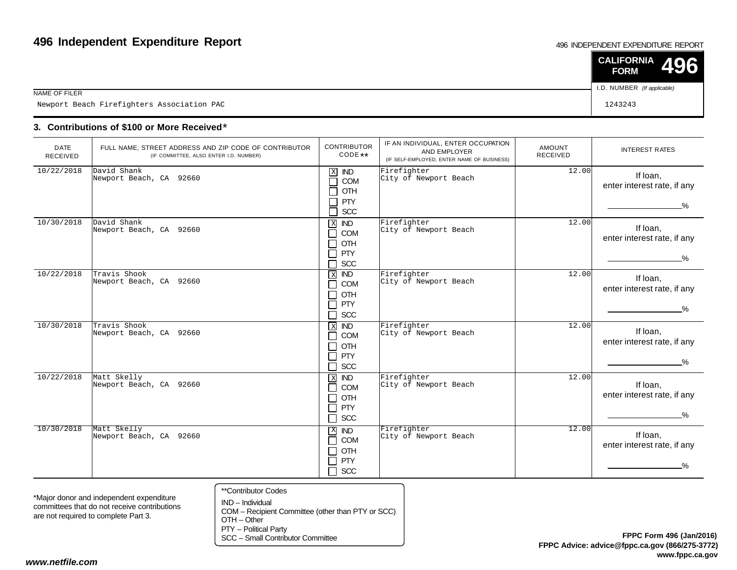#### 496 INDEPENDENT EXPENDITURE REPORT

|                                            | $\vert$ CALIFORNIA 496<br><b>FORM</b> |  |
|--------------------------------------------|---------------------------------------|--|
| NAME OF FILER                              | I.D. NUMBER (If applicable)           |  |
| Newport Beach Firefighters Association PAC | 1243243                               |  |

### **3. Contributions of \$100 or More Received**\*

| <b>DATE</b><br><b>RECEIVED</b> | FULL NAME, STREET ADDRESS AND ZIP CODE OF CONTRIBUTOR<br>(IF COMMITTEE, ALSO ENTER I.D. NUMBER) | <b>CONTRIBUTOR</b><br>CODE **                                                                                                 | IF AN INDIVIDUAL, ENTER OCCUPATION<br>AND EMPLOYER<br>(IF SELF-EMPLOYED, ENTER NAME OF BUSINESS) | <b>AMOUNT</b><br><b>RECEIVED</b> | <b>INTEREST RATES</b>                                    |
|--------------------------------|-------------------------------------------------------------------------------------------------|-------------------------------------------------------------------------------------------------------------------------------|--------------------------------------------------------------------------------------------------|----------------------------------|----------------------------------------------------------|
| 10/22/2018                     | David Shank<br>Newport Beach, CA 92660                                                          | $\mathbf X$<br><b>IND</b><br>COM<br>$\mathcal{L}$<br>OTH<br>$\mathcal{L}$<br><b>PTY</b><br>SCC<br>$\mathcal{L}_{\mathcal{A}}$ | Firefighter<br>City of Newport Beach                                                             | 12.00                            | If Ioan,<br>enter interest rate, if any<br>$\frac{9}{6}$ |
| 10/30/2018                     | David Shank<br>Newport Beach, CA 92660                                                          | $\mathbf X$<br><b>IND</b><br>COM<br>┓<br>OTH<br>$\sim$<br>PTY<br>$\sim$<br>SCC                                                | Firefighter<br>City of Newport Beach                                                             | 12.00                            | If Ioan,<br>enter interest rate, if any<br>$\frac{9}{6}$ |
| 10/22/2018                     | Travis Shook<br>Newport Beach, CA 92660                                                         | <b>IND</b><br>$\,$ X<br>COM<br>$\sim$<br>OTH<br>$\sim$<br><b>PTY</b><br>$\blacksquare$<br>SCC<br>$\overline{\phantom{a}}$     | Firefighter<br>City of Newport Beach                                                             | 12.00                            | If Ioan,<br>enter interest rate, if any<br>$\frac{9}{6}$ |
| 10/30/2018                     | Travis Shook<br>Newport Beach, CA 92660                                                         | $\overline{ND}$<br>$\overline{X}$<br>COM<br>$\blacksquare$<br>OTH<br>$\Box$<br><b>PTY</b><br>$\sim$<br>SCC<br>⊐               | Firefighter<br>City of Newport Beach                                                             | 12.00                            | If Ioan,<br>enter interest rate, if any<br>$\frac{9}{6}$ |
| 10/22/2018                     | Matt Skelly<br>Newport Beach, CA 92660                                                          | $\overline{ND}$<br>$\mathbf X$<br>COM<br>$\blacksquare$<br>OTH<br>$\sim$<br><b>PTY</b><br>┑<br>SCC<br>$\Box$                  | Firefighter<br>City of Newport Beach                                                             | 12.00                            | If Ioan,<br>enter interest rate, if any<br>$\frac{9}{6}$ |
| 10/30/2018                     | Matt Skelly<br>Newport Beach, CA 92660                                                          | $\boldsymbol{\mathrm{X}}$<br><b>IND</b><br>COM<br>$\Box$<br>OTH<br>┓<br><b>PTY</b><br>$\Box$<br>SCC<br>$\Box$                 | Firefighter<br>City of Newport Beach                                                             | 12.00                            | If Ioan,<br>enter interest rate, if any<br>_%            |

\*Major donor and independent expenditure committees that do not receive contributionsare not required to complete Part 3.

- \*\*Contributor Codes
- IND Individual COM – Recipient Committee (other than PTY or SCC)OTH – Other

PTY – Political Party

SCC – Small Contributor Committee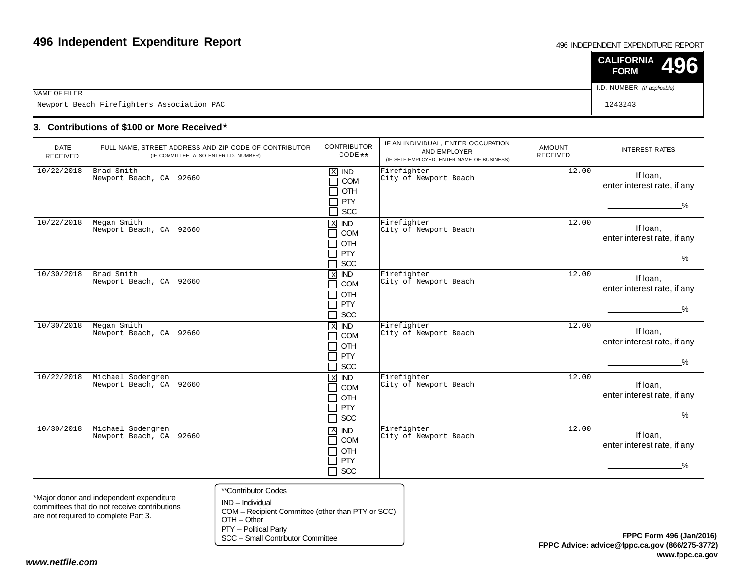#### 496 INDEPENDENT EXPENDITURE REPORT

|                                            | $\vert$ CALIFORNIA 496<br><b>FORM</b> |  |
|--------------------------------------------|---------------------------------------|--|
| NAME OF FILER                              | I.D. NUMBER (If applicable)           |  |
| Newport Beach Firefighters Association PAC | 1243243                               |  |

### **3. Contributions of \$100 or More Received**\*

| <b>DATE</b><br><b>RECEIVED</b> | FULL NAME, STREET ADDRESS AND ZIP CODE OF CONTRIBUTOR<br>(IF COMMITTEE, ALSO ENTER I.D. NUMBER) | <b>CONTRIBUTOR</b><br>$CODE**$                                                                                       | IF AN INDIVIDUAL, ENTER OCCUPATION<br>AND EMPLOYER<br>(IF SELF-EMPLOYED, ENTER NAME OF BUSINESS) | AMOUNT<br><b>RECEIVED</b> | <b>INTEREST RATES</b>                                    |
|--------------------------------|-------------------------------------------------------------------------------------------------|----------------------------------------------------------------------------------------------------------------------|--------------------------------------------------------------------------------------------------|---------------------------|----------------------------------------------------------|
| 10/22/2018                     | Brad Smith<br>Newport Beach, CA 92660                                                           | $\mathbf X$<br>IND<br>COM<br>OTH<br><b>PTY</b><br>SCC                                                                | Firefighter<br>City of Newport Beach                                                             | 12.00                     | If Ioan,<br>enter interest rate, if any<br>$\%$          |
| 10/22/2018                     | Megan Smith<br>Newport Beach, CA 92660                                                          | $\mathbf{X}$<br><b>IND</b><br>COM<br>$\blacksquare$<br>OTH<br>┓<br>PTY<br>$\blacksquare$<br><b>SCC</b>               | Firefighter<br>City of Newport Beach                                                             | 12.00                     | If loan,<br>enter interest rate, if any<br>$\frac{9}{6}$ |
| 10/30/2018                     | Brad Smith<br>Newport Beach, CA 92660                                                           | $X$ IND<br><b>COM</b><br>OTH<br>$\mathcal{L}$<br>PTY<br>┓<br>SCC<br>$\blacksquare$                                   | Firefighter<br>City of Newport Beach                                                             | 12.00                     | If loan,<br>enter interest rate, if any<br>$\frac{0}{2}$ |
| 10/30/2018                     | Megan Smith<br>Newport Beach, CA 92660                                                          | $X$ <b>ND</b><br><b>COM</b><br>$\blacksquare$<br>OTH<br>$\blacksquare$<br><b>PTY</b><br>$\blacksquare$<br><b>SCC</b> | Firefighter<br>City of Newport Beach                                                             | 12.00                     | If Ioan,<br>enter interest rate, if any<br>$\frac{9}{6}$ |
| 10/22/2018                     | Michael Sodergren<br>Newport Beach, CA 92660                                                    | $\mathbf X$<br><b>IND</b><br>COM<br>$\blacksquare$<br>OTH<br>┓<br><b>PTY</b><br>$\blacksquare$<br>$\Box$<br>SCC      | Firefighter<br>City of Newport Beach                                                             | 12.00                     | If Ioan,<br>enter interest rate, if any<br>$\%$          |
| 10/30/2018                     | Michael Sodergren<br>Newport Beach, CA 92660                                                    | X IND<br><b>COM</b><br>$\blacksquare$<br>OTH<br>$\blacksquare$<br><b>PTY</b><br>$\blacksquare$<br>$\Box$ scc         | Firefighter<br>City of Newport Beach                                                             | 12.00                     | If Ioan,<br>enter interest rate, if any<br>$\%$          |

\*Major donor and independent expenditure committees that do not receive contributionsare not required to complete Part 3.

\*\*Contributor Codes

IND – Individual COM – Recipient Committee (other than PTY or SCC)OTH – Other

PTY – Political Party

SCC – Small Contributor Committee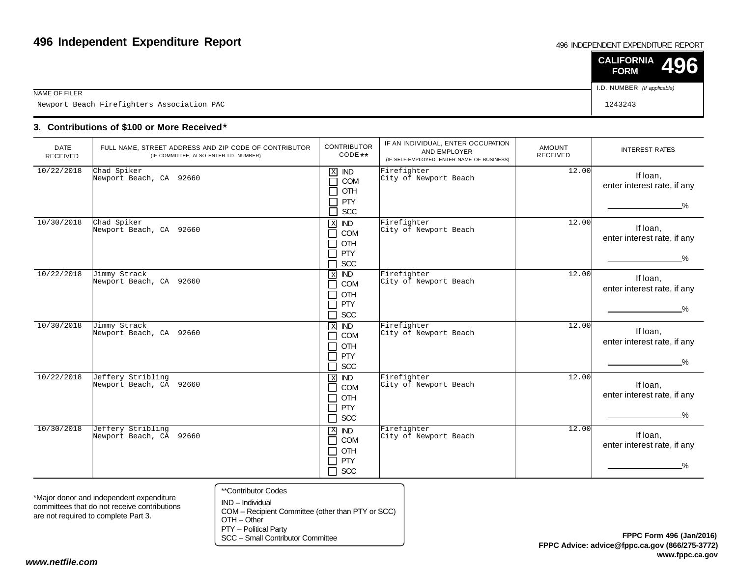#### 496 INDEPENDENT EXPENDITURE REPORT

|                                            | $\vert$ CALIFORNIA 496<br><b>FORM</b> |  |
|--------------------------------------------|---------------------------------------|--|
| NAME OF FILER                              | I.D. NUMBER (If applicable)           |  |
| Newport Beach Firefighters Association PAC | 1243243                               |  |

### **3. Contributions of \$100 or More Received**\*

| <b>DATE</b><br><b>RECEIVED</b> | FULL NAME, STREET ADDRESS AND ZIP CODE OF CONTRIBUTOR<br>(IF COMMITTEE, ALSO ENTER I.D. NUMBER) | <b>CONTRIBUTOR</b><br>$CODE**$                                                                                              | IF AN INDIVIDUAL, ENTER OCCUPATION<br>AND EMPLOYER<br>(IF SELF-EMPLOYED, ENTER NAME OF BUSINESS) | <b>AMOUNT</b><br><b>RECEIVED</b> | <b>INTEREST RATES</b>                                    |
|--------------------------------|-------------------------------------------------------------------------------------------------|-----------------------------------------------------------------------------------------------------------------------------|--------------------------------------------------------------------------------------------------|----------------------------------|----------------------------------------------------------|
| 10/22/2018                     | Chad Spiker<br>Newport Beach, CA 92660                                                          | $\mathbf X$<br><b>IND</b><br>COM<br>$\sim$<br>OTH<br><b>PTY</b><br>SCC                                                      | Firefighter<br>City of Newport Beach                                                             | 12.00                            | If loan,<br>enter interest rate, if any<br>$\frac{0}{2}$ |
| 10/30/2018                     | Chad Spiker<br>Newport Beach, CA 92660                                                          | $\overline{X}$<br>IND<br>COM<br>┓<br>OTH<br>┐<br><b>PTY</b><br>$\blacksquare$<br>SCC                                        | Firefighter<br>City of Newport Beach                                                             | 12.00                            | If Ioan,<br>enter interest rate, if any<br>$\frac{0}{2}$ |
| 10/22/2018                     | Jimmy Strack<br>Newport Beach, CA 92660                                                         | $X$ IND<br>COM<br>┓<br>OTH<br>$\blacksquare$<br>PTY<br>$\blacksquare$<br><b>SCC</b><br>┑                                    | Firefighter<br>City of Newport Beach                                                             | 12.00                            | If loan,<br>enter interest rate, if any<br>$\frac{0}{2}$ |
| 10/30/2018                     | Jimmy Strack<br>Newport Beach, CA 92660                                                         | $X$ IND<br><b>COM</b><br>$\blacksquare$<br>OTH<br>┓<br><b>PTY</b><br>$\blacksquare$<br><b>SCC</b><br>┓                      | Firefighter<br>City of Newport Beach                                                             | 12.00                            | If Ioan,<br>enter interest rate, if any<br>$\frac{9}{6}$ |
| 10/22/2018                     | Jeffery Stribling<br>Newport Beach, CA 92660                                                    | <b>IND</b><br>$\,$ X<br><b>COM</b><br>$\blacksquare$<br>OTH<br>$\blacksquare$<br><b>PTY</b><br>$\blacksquare$<br>$\Box$ SCC | Firefighter<br>City of Newport Beach                                                             | 12.00                            | If Ioan,<br>enter interest rate, if any<br>$\%$          |
| 10/30/2018                     | Jeffery Stribling<br>Newport Beach, CA 92660                                                    | $X$ IND<br>COM<br>┑<br>OTH<br>□<br>PTY<br>٦<br><b>SCC</b><br>П                                                              | Firefighter<br>City of Newport Beach                                                             | 12.00                            | If Ioan.<br>enter interest rate, if any<br>%             |

\*Major donor and independent expenditure committees that do not receive contributionsare not required to complete Part 3.

- \*\*Contributor Codes
- IND Individual COM – Recipient Committee (other than PTY or SCC)OTH – Other

PTY – Political Party

SCC – Small Contributor Committee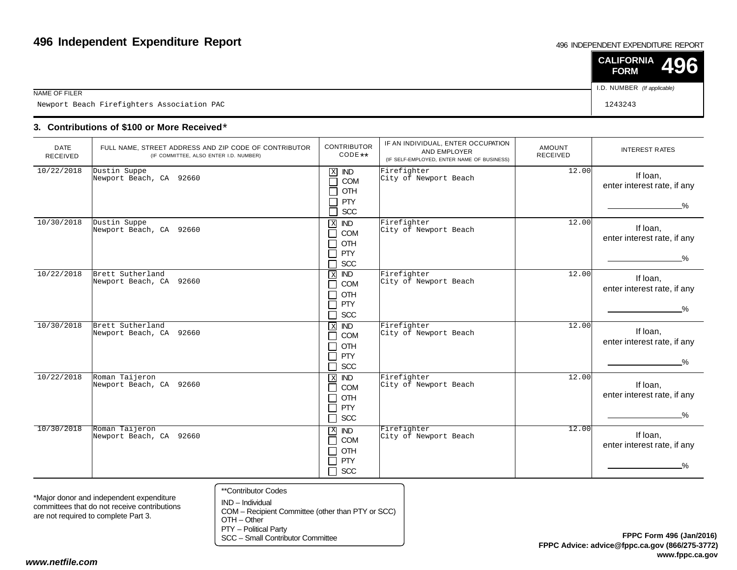#### 496 INDEPENDENT EXPENDITURE REPORT

|                                            | $\vert$ CALIFORNIA 496<br><b>FORM</b> |  |
|--------------------------------------------|---------------------------------------|--|
| NAME OF FILER                              | I.D. NUMBER (If applicable)           |  |
| Newport Beach Firefighters Association PAC | 1243243                               |  |

### **3. Contributions of \$100 or More Received**\*

| <b>DATE</b><br><b>RECEIVED</b> | FULL NAME, STREET ADDRESS AND ZIP CODE OF CONTRIBUTOR<br>(IF COMMITTEE, ALSO ENTER I.D. NUMBER) | <b>CONTRIBUTOR</b><br>$CODE**$                                                                                 | IF AN INDIVIDUAL, ENTER OCCUPATION<br>AND EMPLOYER<br>(IF SELF-EMPLOYED, ENTER NAME OF BUSINESS) | <b>AMOUNT</b><br><b>RECEIVED</b> | <b>INTEREST RATES</b>                                    |
|--------------------------------|-------------------------------------------------------------------------------------------------|----------------------------------------------------------------------------------------------------------------|--------------------------------------------------------------------------------------------------|----------------------------------|----------------------------------------------------------|
| 10/22/2018                     | Dustin Suppe<br>Newport Beach, CA 92660                                                         | $\mathbf X$<br><b>IND</b><br>COM<br>$\mathcal{L}$<br>┑<br>OTH<br><b>PTY</b><br>ᄀ<br>Π<br><b>SCC</b>            | Firefighter<br>City of Newport Beach                                                             | 12.00                            | If Ioan,<br>enter interest rate, if any<br>$\%$          |
| 10/30/2018                     | Dustin Suppe<br>Newport Beach, CA 92660                                                         | $\overline{X}$<br><b>IND</b><br>П<br>COM<br>OTH<br>П<br>PTY<br>П<br><b>SCC</b><br>ᄀ                            | Firefighter<br>City of Newport Beach                                                             | 12.00                            | If Ioan,<br>enter interest rate, if any<br>$\frac{9}{6}$ |
| 10/22/2018                     | Brett Sutherland<br>Newport Beach, CA 92660                                                     | $\,$ X<br>$\overline{ND}$<br>П<br>COM<br><b>OTH</b><br>$\mathsf{L}$<br><b>PTY</b><br>$\Box$<br><b>SCC</b><br>П | Firefighter<br>City of Newport Beach                                                             | 12.00                            | If Ioan.<br>enter interest rate, if any<br>$\frac{9}{6}$ |
| 10/30/2018                     | Brett Sutherland<br>Newport Beach, CA 92660                                                     | $X$ <b>ND</b><br><b>COM</b><br>П<br>OTH<br>$\blacksquare$<br>PTY<br>П<br>П<br><b>SCC</b>                       | Firefighter<br>City of Newport Beach                                                             | 12.00                            | If Ioan,<br>enter interest rate, if any<br>$\%$          |
| 10/22/2018                     | Roman Taijeron<br>Newport Beach, CA 92660                                                       | <b>IND</b><br>$\,$ X<br>COM<br>$\Box$<br>OTH<br>П<br>П<br>PTY<br>$\Box$ SCC                                    | Firefighter<br>City of Newport Beach                                                             | 12.00                            | If loan,<br>enter interest rate, if any<br>$\frac{9}{6}$ |
| 10/30/2018                     | Roman Taijeron<br>Newport Beach, CA 92660                                                       | $X$ IND<br>COM<br>П<br>OTH<br>$\Box$<br><b>PTY</b><br>$\Box$<br>$\Box$ scc                                     | Firefighter<br>City of Newport Beach                                                             | 12.00                            | If loan,<br>enter interest rate, if any<br>$\frac{9}{6}$ |

\*Major donor and independent expenditure committees that do not receive contributionsare not required to complete Part 3.

- \*\*Contributor Codes
- IND Individual COM – Recipient Committee (other than PTY or SCC)OTH – Other

PTY – Political Party

SCC – Small Contributor Committee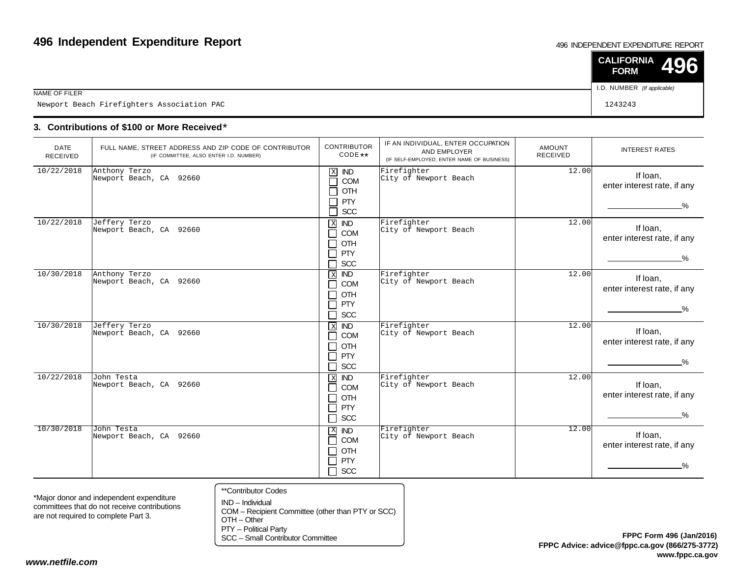#### 496 INDEPENDENT EXPENDITURE REPORT

|                                            | $\vert$ CALIFORNIA 496<br><b>FORM</b> |  |
|--------------------------------------------|---------------------------------------|--|
| NAME OF FILER                              | I.D. NUMBER (If applicable)           |  |
| Newport Beach Firefighters Association PAC | 1243243                               |  |

### **3. Contributions of \$100 or More Received**\*

| <b>DATE</b><br>RECEIVED | FULL NAME, STREET ADDRESS AND ZIP CODE OF CONTRIBUTOR<br>(IF COMMITTEE, ALSO ENTER I.D. NUMBER) | <b>CONTRIBUTOR</b><br>CODE **                                                                                      | IF AN INDIVIDUAL, ENTER OCCUPATION<br>AND EMPLOYER<br>(IF SELF-EMPLOYED, ENTER NAME OF BUSINESS) | <b>AMOUNT</b><br><b>RECEIVED</b> | <b>INTEREST RATES</b>                                    |
|-------------------------|-------------------------------------------------------------------------------------------------|--------------------------------------------------------------------------------------------------------------------|--------------------------------------------------------------------------------------------------|----------------------------------|----------------------------------------------------------|
| 10/22/2018              | Anthony Terzo<br>Newport Beach, CA 92660                                                        | $\mathbf X$<br>IND<br><b>COM</b><br>$\mathcal{L}$<br>OTH<br><b>PTY</b><br>J.<br>SCC                                | Firefighter<br>City of Newport Beach                                                             | 12.00                            | If Ioan,<br>enter interest rate, if any<br>$\%$          |
| 10/22/2018              | Jeffery Terzo<br>Newport Beach, CA 92660                                                        | $\mathbf X$<br><b>IND</b><br>COM<br>$\blacksquare$<br>OTH<br>$\sim$<br><b>PTY</b><br>$\blacksquare$<br><b>SCC</b>  | Firefighter<br>City of Newport Beach                                                             | 12.00                            | If loan,<br>enter interest rate, if any<br>$\frac{9}{6}$ |
| 10/30/2018              | Anthony Terzo<br>Newport Beach, CA 92660                                                        | <b>IND</b><br>$\,$ X<br>COM<br>OTH<br>$\sim$<br><b>PTY</b><br>$\blacksquare$<br>SCC<br>$\blacksquare$              | Firefighter<br>City of Newport Beach                                                             | 12.00                            | If Ioan,<br>enter interest rate, if any<br>$\%$          |
| 10/30/2018              | Jeffery Terzo<br>Newport Beach, CA 92660                                                        | $\overline{ND}$<br>$\overline{X}$<br>COM<br>$\blacksquare$<br>OTH<br>$\sim$<br><b>PTY</b><br>$\sim$<br>SCC<br>┓    | Firefighter<br>City of Newport Beach                                                             | 12.00                            | If loan,<br>enter interest rate, if any<br>$\frac{9}{6}$ |
| 10/22/2018              | John Testa<br>Newport Beach, CA 92660                                                           | $\,$ X<br><b>IND</b><br>COM<br>$\blacksquare$<br>OTH<br>┓<br><b>PTY</b><br>SCC<br>□                                | Firefighter<br>City of Newport Beach                                                             | 12.00                            | If Ioan,<br>enter interest rate, if any<br>$\%$          |
| 10/30/2018              | John Testa<br>Newport Beach, CA 92660                                                           | $\mathbf{X}$<br><b>IND</b><br><b>COM</b><br>$\mathcal{L}_{\mathcal{A}}$<br>OTH<br>┓<br><b>PTY</b><br>SCC<br>$\Box$ | Firefighter<br>City of Newport Beach                                                             | 12.00                            | If Ioan,<br>enter interest rate, if any<br>$\frac{9}{6}$ |

\*Major donor and independent expenditure committees that do not receive contributionsare not required to complete Part 3.

- \*\*Contributor Codes
- IND Individual COM – Recipient Committee (other than PTY or SCC)OTH – Other

PTY – Political Party

SCC – Small Contributor Committee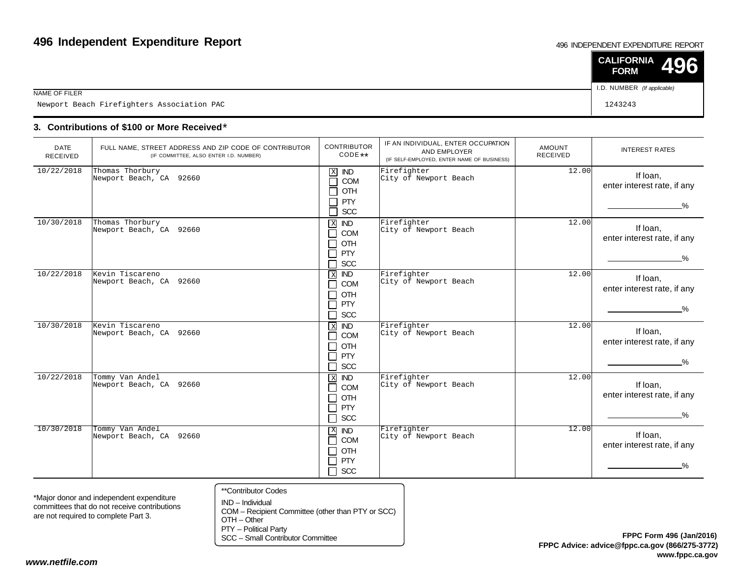#### 496 INDEPENDENT EXPENDITURE REPORT

|                                            | $\vert$ CALIFORNIA 496<br><b>FORM</b> |  |
|--------------------------------------------|---------------------------------------|--|
| NAME OF FILER                              | I.D. NUMBER (If applicable)           |  |
| Newport Beach Firefighters Association PAC | 1243243                               |  |

### **3. Contributions of \$100 or More Received**\*

| <b>DATE</b><br>RECEIVED | FULL NAME, STREET ADDRESS AND ZIP CODE OF CONTRIBUTOR<br>(IF COMMITTEE, ALSO ENTER I.D. NUMBER) | <b>CONTRIBUTOR</b><br>CODE **                                                           | IF AN INDIVIDUAL, ENTER OCCUPATION<br>AND EMPLOYER<br>(IF SELF-EMPLOYED, ENTER NAME OF BUSINESS) | <b>AMOUNT</b><br><b>RECEIVED</b> | <b>INTEREST RATES</b>                                    |
|-------------------------|-------------------------------------------------------------------------------------------------|-----------------------------------------------------------------------------------------|--------------------------------------------------------------------------------------------------|----------------------------------|----------------------------------------------------------|
| 10/22/2018              | Thomas Thorbury<br>Newport Beach, CA 92660                                                      | $\mathbf X$<br><b>IND</b><br>COM<br>$\mathcal{L}$<br>OTH<br><b>PTY</b><br>SCC<br>┑      | Firefighter<br>City of Newport Beach                                                             | 12.00                            | If Ioan,<br>enter interest rate, if any<br>$\%$          |
| 10/30/2018              | Thomas Thorbury<br>Newport Beach, CA 92660                                                      | X <b>IND</b><br>COM<br>┑<br><b>OTH</b><br>П<br>PTY<br>┑<br><b>SCC</b><br>$\blacksquare$ | Firefighter<br>City of Newport Beach                                                             | 12.00                            | If loan,<br>enter interest rate, if any<br>$\frac{9}{6}$ |
| 10/22/2018              | Kevin Tiscareno<br>Newport Beach, CA 92660                                                      | $X$ IND<br>COM<br>$\Box$<br>OTH<br>┓<br><b>PTY</b><br>П<br>$\Box$ SCC                   | Firefighter<br>City of Newport Beach                                                             | 12.00                            | If Ioan,<br>enter interest rate, if any<br>$\frac{0}{2}$ |
| 10/30/2018              | Kevin Tiscareno<br>Newport Beach, CA 92660                                                      | $X$ IND<br>COM<br>$\blacksquare$<br>OTH<br>ヿ<br>PTY<br>┓<br><b>SCC</b><br>٦             | Firefighter<br>City of Newport Beach                                                             | 12.00                            | If Ioan,<br>enter interest rate, if any<br>$\frac{9}{6}$ |
| 10/22/2018              | Tommy Van Andel<br>Newport Beach, CA 92660                                                      | $X$ IND<br><b>COM</b><br>┑<br>∏ отн<br>PTY<br>$\Box$<br>SCC<br>$\Box$                   | Firefighter<br>City of Newport Beach                                                             | 12.00                            | If Ioan,<br>enter interest rate, if any<br>$\%$          |
| 10/30/2018              | Tommy Van Andel<br>Newport Beach, CA 92660                                                      | $X$ $ND$<br>COM<br>П<br>OTH<br>Ţ<br>PTY<br>┑<br>П<br><b>SCC</b>                         | Firefighter<br>City of Newport Beach                                                             | 12.00                            | If loan,<br>enter interest rate, if any<br>$\%$          |

\*Major donor and independent expenditure committees that do not receive contributionsare not required to complete Part 3.

- \*\*Contributor Codes
- IND Individual COM – Recipient Committee (other than PTY or SCC)OTH – Other

PTY – Political Party

SCC – Small Contributor Committee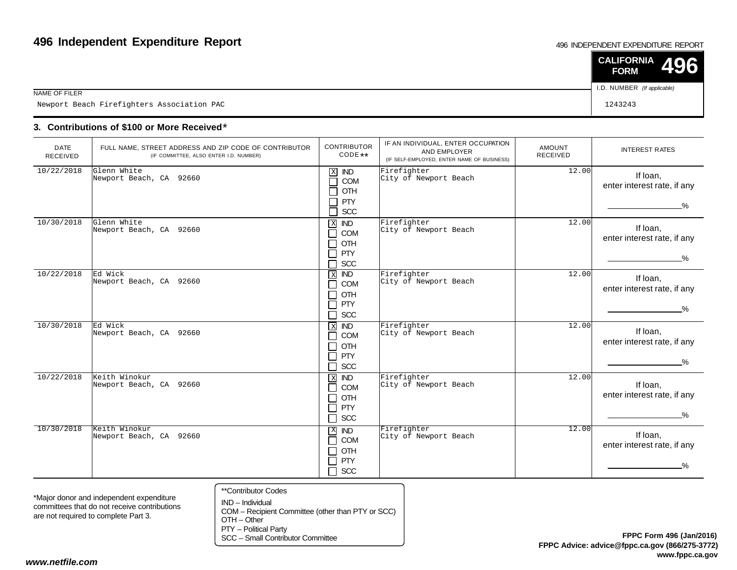#### 496 INDEPENDENT EXPENDITURE REPORT

|                                            | $\vert$ CALIFORNIA 496<br><b>FORM</b> |  |
|--------------------------------------------|---------------------------------------|--|
| NAME OF FILER                              | I.D. NUMBER (If applicable)           |  |
| Newport Beach Firefighters Association PAC | 1243243                               |  |

### **3. Contributions of \$100 or More Received**\*

| <b>DATE</b><br>RECEIVED | FULL NAME, STREET ADDRESS AND ZIP CODE OF CONTRIBUTOR<br>(IF COMMITTEE, ALSO ENTER I.D. NUMBER) | <b>CONTRIBUTOR</b><br>CODE **                                                                                                | IF AN INDIVIDUAL, ENTER OCCUPATION<br>AND EMPLOYER<br>(IF SELF-EMPLOYED, ENTER NAME OF BUSINESS) | <b>AMOUNT</b><br><b>RECEIVED</b> | <b>INTEREST RATES</b>                                    |
|-------------------------|-------------------------------------------------------------------------------------------------|------------------------------------------------------------------------------------------------------------------------------|--------------------------------------------------------------------------------------------------|----------------------------------|----------------------------------------------------------|
| 10/22/2018              | Glenn White<br>Newport Beach, CA 92660                                                          | $\mathbf X$<br><b>IND</b><br>COM<br>П<br>OTH<br>П<br><b>PTY</b><br>$\Box$<br>SCC<br>П                                        | Firefighter<br>City of Newport Beach                                                             | 12.00                            | If Ioan,<br>enter interest rate, if any<br>$\%$          |
| 10/30/2018              | Glenn White<br>Newport Beach, CA 92660                                                          | $\mathbf X$<br><b>IND</b><br>COM<br>$\Box$<br>OTH<br>$\Box$<br>PTY<br>$\Box$<br><b>SCC</b>                                   | Firefighter<br>City of Newport Beach                                                             | 12.00                            | If loan,<br>enter interest rate, if any<br>%             |
| 10/22/2018              | Ed Wick<br>Newport Beach, CA 92660                                                              | <b>IND</b><br>$\overline{\mathbf{X}}$<br>$\Box$<br>COM<br>OTH<br>$\Box$<br>$\Box$<br><b>PTY</b><br>$\Box$<br><b>SCC</b>      | Firefighter<br>City of Newport Beach                                                             | 12.00                            | If Ioan,<br>enter interest rate, if any<br>$\frac{0}{6}$ |
| 10/30/2018              | Ed Wick<br>Newport Beach, CA 92660                                                              | $\overline{ND}$<br>$\overline{X}$<br>COM<br>П<br>OTH<br>$\mathcal{L}_{\mathcal{A}}$<br><b>PTY</b><br>$\Box$<br>SCC<br>$\Box$ | Firefighter<br>City of Newport Beach                                                             | 12.00                            | If Ioan,<br>enter interest rate, if any<br>%.            |
| 10/22/2018              | Keith Winokur<br>Newport Beach, CA 92660                                                        | $\mathbf{x}$<br><b>IND</b><br>COM<br>$\Box$<br>OTH<br>$\Box$<br><b>PTY</b><br>$\Box$<br>$\Box$<br>SCC                        | Firefighter<br>City of Newport Beach                                                             | 12.00                            | If Ioan,<br>enter interest rate, if any<br>%             |
| 10/30/2018              | Keith Winokur<br>Newport Beach, CA 92660                                                        | $\mathbf{X}$<br><b>IND</b><br>$\Box$<br>COM<br>OTH<br>П<br>PTY<br>$\Box$<br>SCC<br>$\Box$                                    | Firefighter<br>City of Newport Beach                                                             | 12.00                            | If Ioan,<br>enter interest rate, if any<br>%.            |

\*Major donor and independent expenditure committees that do not receive contributionsare not required to complete Part 3.

- \*\*Contributor Codes
- IND Individual COM – Recipient Committee (other than PTY or SCC)OTH – Other

PTY – Political Party

SCC – Small Contributor Committee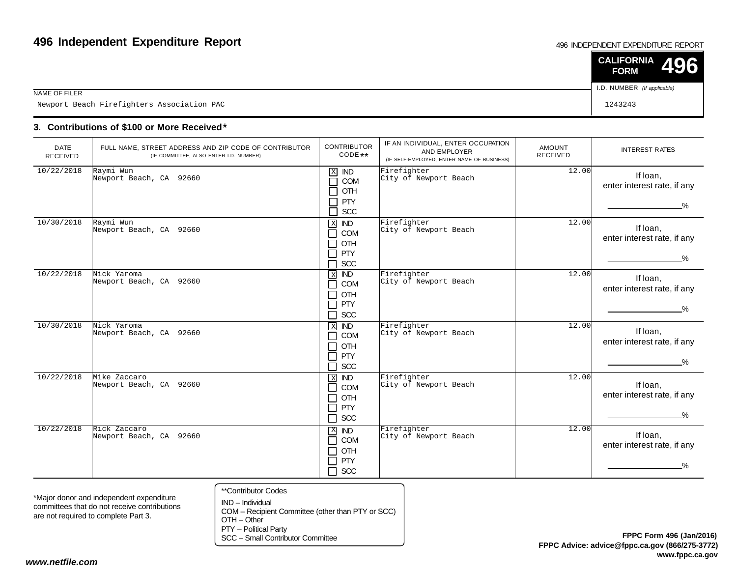#### 496 INDEPENDENT EXPENDITURE REPORT

|                                            | $\vert$ CALIFORNIA 496<br><b>FORM</b> |  |
|--------------------------------------------|---------------------------------------|--|
| NAME OF FILER                              | I.D. NUMBER (If applicable)           |  |
| Newport Beach Firefighters Association PAC | 1243243                               |  |

### **3. Contributions of \$100 or More Received**\*

| <b>DATE</b><br>RECEIVED | FULL NAME, STREET ADDRESS AND ZIP CODE OF CONTRIBUTOR<br>(IF COMMITTEE, ALSO ENTER I.D. NUMBER) | <b>CONTRIBUTOR</b><br>CODE **                                                                                         | IF AN INDIVIDUAL, ENTER OCCUPATION<br>AND EMPLOYER<br>(IF SELF-EMPLOYED, ENTER NAME OF BUSINESS) | AMOUNT<br><b>RECEIVED</b> | <b>INTEREST RATES</b>                                    |
|-------------------------|-------------------------------------------------------------------------------------------------|-----------------------------------------------------------------------------------------------------------------------|--------------------------------------------------------------------------------------------------|---------------------------|----------------------------------------------------------|
| 10/22/2018              | Raymi Wun<br>Newport Beach, CA 92660                                                            | $\mathbf X$<br><b>IND</b><br>COM<br>$\sim$<br>OTH<br><b>PTY</b><br>SCC<br>┑                                           | Firefighter<br>City of Newport Beach                                                             | 12.00                     | If loan,<br>enter interest rate, if any<br>$\%$          |
| 10/30/2018              | Raymi Wun<br>Newport Beach, CA 92660                                                            | $X$ IND<br>COM<br>┓<br>OTH<br>$\blacksquare$<br><b>PTY</b><br>$\mathcal{L}$<br>SCC<br>$\blacksquare$                  | Firefighter<br>City of Newport Beach                                                             | 12.00                     | If Ioan,<br>enter interest rate, if any<br>$\frac{9}{6}$ |
| 10/22/2018              | Nick Yaroma<br>Newport Beach, CA 92660                                                          | $\,$ X<br>$\overline{ND}$<br>COM<br>$\blacksquare$<br>OTH<br>┓<br>PTY<br>$\blacksquare$<br><b>SCC</b><br>┓            | Firefighter<br>City of Newport Beach                                                             | 12.00                     | If Ioan,<br>enter interest rate, if any<br>$\frac{9}{6}$ |
| 10/30/2018              | Nick Yaroma<br>Newport Beach, CA 92660                                                          | $X$ <b>ND</b><br>COM<br>$\blacksquare$<br>OTH<br>$\blacksquare$<br>PTY<br>$\overline{\phantom{a}}$<br><b>SCC</b><br>┓ | Firefighter<br>City of Newport Beach                                                             | 12.00                     | If Ioan,<br>enter interest rate, if any<br>%             |
| 10/22/2018              | Mike Zaccaro<br>Newport Beach, CA 92660                                                         | $X$ IND<br>COM<br>$\blacksquare$<br>OTH<br>$\blacksquare$<br>PTY<br>□<br>SCC<br>$\Box$                                | Firefighter<br>City of Newport Beach                                                             | 12.00                     | If Ioan.<br>enter interest rate, if any<br>$\%$          |
| 10/22/2018              | Rick Zaccaro<br>Newport Beach, CA 92660                                                         | $\mathbf{X}$<br>$\overline{ND}$<br>COM<br>┓<br>OTH<br>' J .<br>PTY<br>$\blacksquare$<br>$\Box$ scc                    | Firefighter<br>City of Newport Beach                                                             | 12.00                     | If Ioan,<br>enter interest rate, if any<br>$\frac{0}{2}$ |

\*Major donor and independent expenditure committees that do not receive contributionsare not required to complete Part 3.

- \*\*Contributor Codes
- IND Individual COM – Recipient Committee (other than PTY or SCC)OTH – Other

PTY – Political Party

SCC – Small Contributor Committee